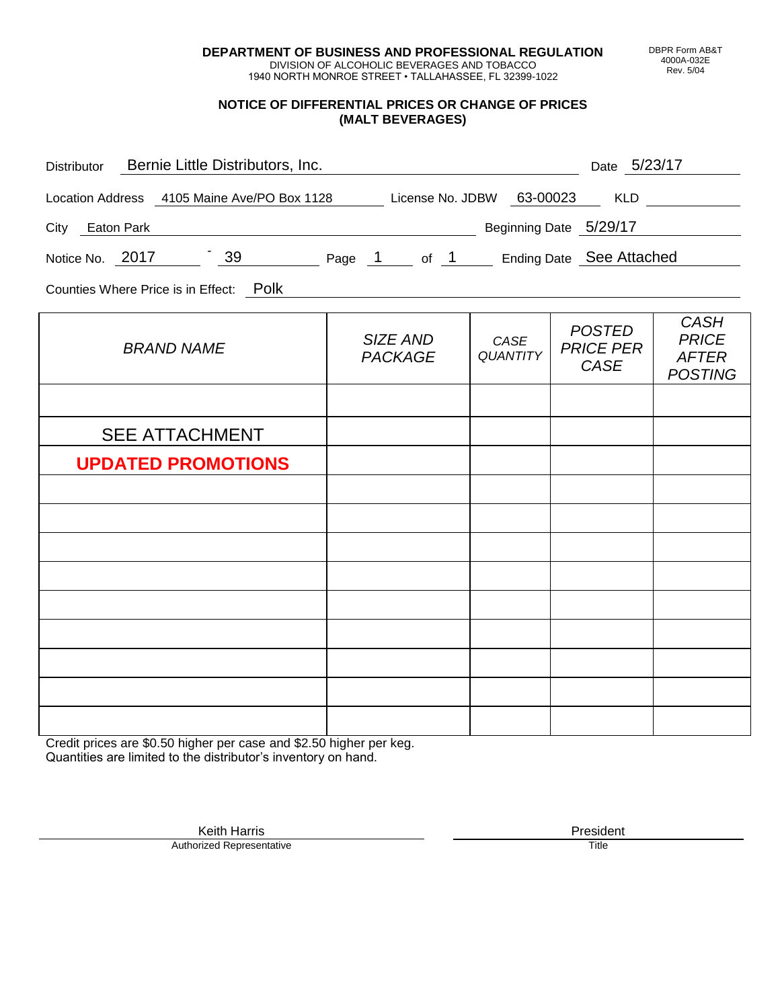**DEPARTMENT OF BUSINESS AND PROFESSIONAL REGULATION** DIVISION OF ALCOHOLIC BEVERAGES AND TOBACCO

1940 NORTH MONROE STREET • TALLAHASSEE, FL 32399-1022

#### **NOTICE OF DIFFERENTIAL PRICES OR CHANGE OF PRICES (MALT BEVERAGES)**

| Distributor Bernie Little Distributors, Inc.                              |                                                                                                                                                                                                                                      |                         | Date 5/23/17                                     |                                                               |
|---------------------------------------------------------------------------|--------------------------------------------------------------------------------------------------------------------------------------------------------------------------------------------------------------------------------------|-------------------------|--------------------------------------------------|---------------------------------------------------------------|
| Location Address 4105 Maine Ave/PO Box 1128 License No. JDBW 63-00023 KLD |                                                                                                                                                                                                                                      |                         |                                                  |                                                               |
| City Eaton Park                                                           |                                                                                                                                                                                                                                      |                         | Beginning Date 5/29/17                           |                                                               |
| Notice No. 2017 39 Page 1 of 1 Ending Date See Attached                   |                                                                                                                                                                                                                                      |                         |                                                  |                                                               |
| Counties Where Price is in Effect: Polk                                   | <u>and the contract of the contract of the contract of the contract of the contract of the contract of the contract of the contract of the contract of the contract of the contract of the contract of the contract of the contr</u> |                         |                                                  |                                                               |
| <b>BRAND NAME</b>                                                         | SIZE AND<br><b>PACKAGE</b>                                                                                                                                                                                                           | CASE<br><b>QUANTITY</b> | <b>POSTED</b><br><b>PRICE PER</b><br><b>CASE</b> | <b>CASH</b><br><b>PRICE</b><br><b>AFTER</b><br><b>POSTING</b> |
|                                                                           |                                                                                                                                                                                                                                      |                         |                                                  |                                                               |
| <b>SEE ATTACHMENT</b>                                                     |                                                                                                                                                                                                                                      |                         |                                                  |                                                               |
| <b>UPDATED PROMOTIONS</b>                                                 |                                                                                                                                                                                                                                      |                         |                                                  |                                                               |
|                                                                           |                                                                                                                                                                                                                                      |                         |                                                  |                                                               |
|                                                                           |                                                                                                                                                                                                                                      |                         |                                                  |                                                               |
|                                                                           |                                                                                                                                                                                                                                      |                         |                                                  |                                                               |
|                                                                           |                                                                                                                                                                                                                                      |                         |                                                  |                                                               |
|                                                                           |                                                                                                                                                                                                                                      |                         |                                                  |                                                               |
|                                                                           |                                                                                                                                                                                                                                      |                         |                                                  |                                                               |
|                                                                           |                                                                                                                                                                                                                                      |                         |                                                  |                                                               |
|                                                                           |                                                                                                                                                                                                                                      |                         |                                                  |                                                               |

Credit prices are \$0.50 higher per case and \$2.50 higher per keg. Quantities are limited to the distributor's inventory on hand.

> Keith Harris **President** President **President** President **President** President **President** Authorized Representative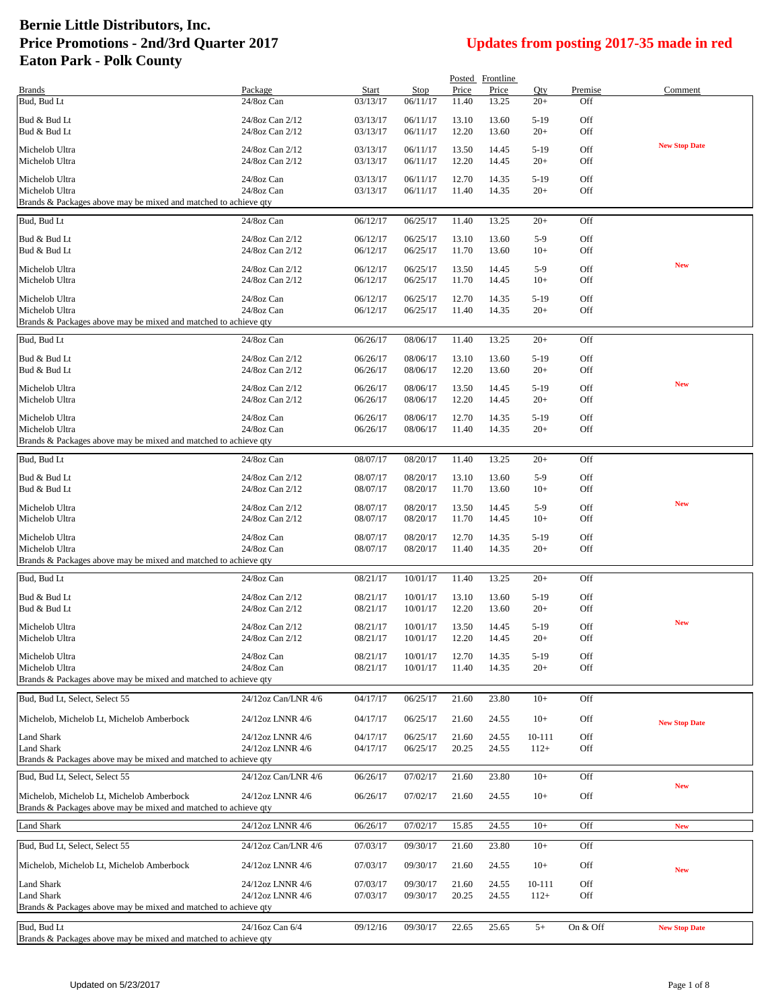|                                                                                   |                                      |                      |                      |                | Posted Frontline |                  |            |                      |
|-----------------------------------------------------------------------------------|--------------------------------------|----------------------|----------------------|----------------|------------------|------------------|------------|----------------------|
| <b>Brands</b>                                                                     | Package                              | Start                | Stop                 | Price          | Price            | Qty              | Premise    | Comment              |
| Bud, Bud Lt                                                                       | 24/8oz Can                           | 03/13/17             | 06/11/17             | 11.40          | 13.25            | $20+$            | Off        |                      |
| Bud & Bud Lt<br>Bud & Bud Lt                                                      | 24/8oz Can 2/12<br>24/8oz Can 2/12   | 03/13/17<br>03/13/17 | 06/11/17<br>06/11/17 | 13.10<br>12.20 | 13.60<br>13.60   | $5-19$<br>$20+$  | Off<br>Off |                      |
|                                                                                   |                                      |                      |                      |                |                  |                  |            | <b>New Stop Date</b> |
| Michelob Ultra<br>Michelob Ultra                                                  | 24/8oz Can 2/12<br>24/8oz Can 2/12   | 03/13/17<br>03/13/17 | 06/11/17<br>06/11/17 | 13.50<br>12.20 | 14.45<br>14.45   | $5-19$<br>$20+$  | Off<br>Off |                      |
| Michelob Ultra                                                                    | 24/8oz Can                           | 03/13/17             | 06/11/17             | 12.70          | 14.35            | $5-19$           | Off        |                      |
| Michelob Ultra                                                                    | 24/8oz Can                           | 03/13/17             | 06/11/17             | 11.40          | 14.35            | $20+$            | Off        |                      |
| Brands & Packages above may be mixed and matched to achieve qty                   |                                      |                      |                      |                |                  |                  |            |                      |
| Bud, Bud Lt                                                                       | 24/8oz Can                           | 06/12/17             | 06/25/17             | 11.40          | 13.25            | $20+$            | Off        |                      |
| Bud & Bud Lt                                                                      | 24/8oz Can 2/12                      | 06/12/17             | 06/25/17             | 13.10          | 13.60            | $5-9$            | <b>Off</b> |                      |
| Bud & Bud Lt                                                                      | 24/8oz Can 2/12                      | 06/12/17             | 06/25/17             | 11.70          | 13.60            | $10+$            | Off        |                      |
| Michelob Ultra                                                                    | 24/8oz Can 2/12                      | 06/12/17             | 06/25/17             | 13.50          | 14.45            | $5-9$            | Off        | <b>New</b>           |
| Michelob Ultra                                                                    | 24/8oz Can 2/12                      | 06/12/17             | 06/25/17             | 11.70          | 14.45            | $10+$            | Off        |                      |
| Michelob Ultra                                                                    | 24/8oz Can<br>24/8oz Can             | 06/12/17             | 06/25/17             | 12.70          | 14.35            | $5-19$<br>$20+$  | Off        |                      |
| Michelob Ultra<br>Brands & Packages above may be mixed and matched to achieve qty |                                      | 06/12/17             | 06/25/17             | 11.40          | 14.35            |                  | <b>Off</b> |                      |
| Bud, Bud Lt                                                                       | 24/8oz Can                           | 06/26/17             | 08/06/17             | 11.40          | 13.25            | $20+$            | Off        |                      |
| Bud & Bud Lt                                                                      | 24/8oz Can 2/12                      | 06/26/17             | 08/06/17             | 13.10          | 13.60            | $5-19$           | Off        |                      |
| Bud & Bud Lt                                                                      | 24/8oz Can 2/12                      | 06/26/17             | 08/06/17             | 12.20          | 13.60            | $20+$            | Off        |                      |
| Michelob Ultra                                                                    | 24/8oz Can 2/12                      | 06/26/17             | 08/06/17             | 13.50          | 14.45            | $5-19$           | Off        | <b>New</b>           |
| Michelob Ultra                                                                    | 24/8oz Can 2/12                      | 06/26/17             | 08/06/17             | 12.20          | 14.45            | $20+$            | <b>Off</b> |                      |
| Michelob Ultra                                                                    | 24/8oz Can                           | 06/26/17             | 08/06/17             | 12.70          | 14.35            | $5-19$           | Off        |                      |
| Michelob Ultra                                                                    | 24/8oz Can                           | 06/26/17             | 08/06/17             | 11.40          | 14.35            | $20+$            | Off        |                      |
| Brands & Packages above may be mixed and matched to achieve qty                   |                                      |                      |                      |                |                  |                  |            |                      |
| Bud, Bud Lt                                                                       | 24/8oz Can                           | 08/07/17             | 08/20/17             | 11.40          | 13.25            | $20+$            | Off        |                      |
| Bud & Bud Lt<br>Bud & Bud Lt                                                      | 24/8oz Can 2/12<br>24/8oz Can 2/12   | 08/07/17<br>08/07/17 | 08/20/17<br>08/20/17 | 13.10<br>11.70 | 13.60<br>13.60   | $5-9$<br>$10+$   | Off<br>Off |                      |
|                                                                                   |                                      |                      |                      |                |                  |                  |            | <b>New</b>           |
| Michelob Ultra<br>Michelob Ultra                                                  | 24/8oz Can 2/12<br>24/8oz Can 2/12   | 08/07/17<br>08/07/17 | 08/20/17<br>08/20/17 | 13.50<br>11.70 | 14.45<br>14.45   | $5-9$<br>$10+$   | Off<br>Off |                      |
| Michelob Ultra                                                                    | 24/8oz Can                           | 08/07/17             | 08/20/17             | 12.70          | 14.35            | $5-19$           | Off        |                      |
| Michelob Ultra                                                                    | 24/8oz Can                           | 08/07/17             | 08/20/17             | 11.40          | 14.35            | $20+$            | Off        |                      |
| Brands & Packages above may be mixed and matched to achieve qty                   |                                      |                      |                      |                |                  |                  |            |                      |
| Bud, Bud Lt                                                                       | 24/8oz Can                           | 08/21/17             | 10/01/17             | 11.40          | 13.25            | $20+$            | Off        |                      |
| Bud & Bud Lt                                                                      | 24/8oz Can 2/12                      | 08/21/17             | 10/01/17             | 13.10          | 13.60            | $5-19$           | Off        |                      |
| Bud & Bud Lt                                                                      | 24/8oz Can 2/12                      | 08/21/17             | 10/01/17             | 12.20          | 13.60            | $20+$            | Off        |                      |
| Michelob Ultra                                                                    | 24/8oz Can 2/12                      | 08/21/17             | 10/01/17             | 13.50          | 14.45            | $5-19$           | Off        | <b>New</b>           |
| Michelob Ultra                                                                    | 24/8oz Can 2/12                      | 08/21/17             | 10/01/17             | 12.20          | 14.45            | $20+$            | Off        |                      |
| Michelob Ultra                                                                    | 24/8oz Can                           | 08/21/17             | 10/01/17             | 12.70          | 14.35            | $5-19$           | Off        |                      |
| Michelob Ultra<br>Brands & Packages above may be mixed and matched to achieve gty | 24/8oz Can                           | 08/21/17             | 10/01/17             | 11.40          | 14.35            | $20+$            | Off        |                      |
| Bud, Bud Lt, Select, Select 55                                                    | 24/12oz Can/LNR 4/6                  | 04/17/17             | 06/25/17             | 21.60          | 23.80            | $10+$            | Off        |                      |
|                                                                                   |                                      |                      |                      |                |                  |                  |            |                      |
| Michelob, Michelob Lt, Michelob Amberbock                                         | 24/12oz LNNR 4/6                     | 04/17/17             | 06/25/17             | 21.60          | 24.55            | $10+$            | Off        | <b>New Stop Date</b> |
| Land Shark<br>Land Shark                                                          | 24/12oz LNNR 4/6<br>24/12oz LNNR 4/6 | 04/17/17<br>04/17/17 | 06/25/17<br>06/25/17 | 21.60<br>20.25 | 24.55<br>24.55   | 10-111<br>$112+$ | Off<br>Off |                      |
| Brands & Packages above may be mixed and matched to achieve qty                   |                                      |                      |                      |                |                  |                  |            |                      |
| Bud, Bud Lt, Select, Select 55                                                    | 24/12oz Can/LNR 4/6                  | 06/26/17             | 07/02/17             | 21.60          | 23.80            | $10+$            | Off        |                      |
| Michelob, Michelob Lt. Michelob Amberbock                                         | 24/12oz LNNR 4/6                     | 06/26/17             | 07/02/17             | 21.60          | 24.55            | $10+$            | Off        | <b>New</b>           |
| Brands & Packages above may be mixed and matched to achieve qty                   |                                      |                      |                      |                |                  |                  |            |                      |
| Land Shark                                                                        | 24/12oz LNNR 4/6                     | 06/26/17             | 07/02/17             | 15.85          | 24.55            | $10+$            | Off        | <b>New</b>           |
| Bud, Bud Lt, Select, Select 55                                                    | 24/12oz Can/LNR 4/6                  | 07/03/17             | 09/30/17             | 21.60          | 23.80            | $10+$            | Off        |                      |
| Michelob, Michelob Lt, Michelob Amberbock                                         | 24/12oz LNNR 4/6                     | 07/03/17             | 09/30/17             | 21.60          | 24.55            | $10+$            | Off        |                      |
| Land Shark                                                                        | 24/12oz LNNR 4/6                     | 07/03/17             | 09/30/17             | 21.60          | 24.55            | 10-111           | Off        | <b>New</b>           |
| Land Shark                                                                        | 24/12oz LNNR 4/6                     | 07/03/17             | 09/30/17             | 20.25          | 24.55            | $112+$           | <b>Off</b> |                      |
| Brands & Packages above may be mixed and matched to achieve qty                   |                                      |                      |                      |                |                  |                  |            |                      |
| Bud, Bud Lt                                                                       | 24/16oz Can 6/4                      | 09/12/16             | 09/30/17             | 22.65          | 25.65            | $5+$             | On & Off   | <b>New Stop Date</b> |
| Brands & Packages above may be mixed and matched to achieve qty                   |                                      |                      |                      |                |                  |                  |            |                      |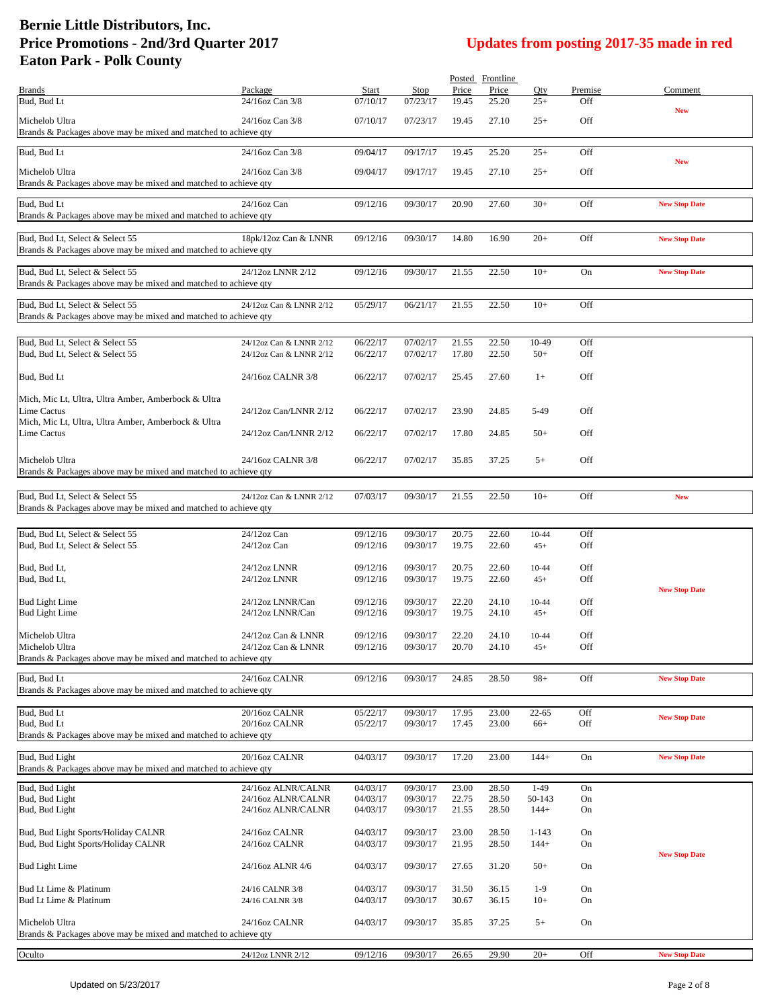|                                                                                                    |                              |                      |                      |                | Posted Frontline |                    |            |                      |
|----------------------------------------------------------------------------------------------------|------------------------------|----------------------|----------------------|----------------|------------------|--------------------|------------|----------------------|
| <b>Brands</b>                                                                                      | Package                      | Start                | Stop                 | Price          | Price            | Qty                | Premise    | Comment              |
| Bud, Bud Lt                                                                                        | 24/16oz Can 3/8              | 07/10/17             | 07/23/17             | 19.45          | 25.20            | $25+$              | Off        | <b>New</b>           |
| Michelob Ultra                                                                                     | 24/16oz Can 3/8              | 07/10/17             | 07/23/17             | 19.45          | 27.10            | $25+$              | Off        |                      |
| Brands & Packages above may be mixed and matched to achieve qty                                    |                              |                      |                      |                |                  |                    |            |                      |
| Bud, Bud Lt                                                                                        | 24/16oz Can 3/8              | 09/04/17             | 09/17/17             | 19.45          | 25.20            | $25+$              | Off        | <b>New</b>           |
| Michelob Ultra                                                                                     | 24/16oz Can 3/8              | 09/04/17             | 09/17/17             | 19.45          | 27.10            | $25+$              | Off        |                      |
| Brands & Packages above may be mixed and matched to achieve qty                                    |                              |                      |                      |                |                  |                    |            |                      |
| Bud, Bud Lt                                                                                        | 24/16oz Can                  | 09/12/16             | 09/30/17             | 20.90          | 27.60            | $30+$              | Off        | <b>New Stop Date</b> |
| Brands & Packages above may be mixed and matched to achieve qty                                    |                              |                      |                      |                |                  |                    |            |                      |
|                                                                                                    |                              |                      |                      |                |                  |                    |            |                      |
| Bud, Bud Lt, Select & Select 55<br>Brands & Packages above may be mixed and matched to achieve qty | 18pk/12oz Can & LNNR         | 09/12/16             | 09/30/17             | 14.80          | 16.90            | $20+$              | Off        | <b>New Stop Date</b> |
|                                                                                                    |                              |                      |                      |                |                  |                    |            |                      |
| Bud, Bud Lt, Select & Select 55                                                                    | 24/12oz LNNR 2/12            | 09/12/16             | 09/30/17             | 21.55          | 22.50            | $10+$              | On         | <b>New Stop Date</b> |
| Brands & Packages above may be mixed and matched to achieve qty                                    |                              |                      |                      |                |                  |                    |            |                      |
| Bud, Bud Lt, Select & Select 55                                                                    | 24/12oz Can & LNNR 2/12      | 05/29/17             | 06/21/17             | 21.55          | 22.50            | $10+$              | Off        |                      |
| Brands & Packages above may be mixed and matched to achieve qty                                    |                              |                      |                      |                |                  |                    |            |                      |
| Bud, Bud Lt, Select & Select 55                                                                    | 24/12oz Can & LNNR 2/12      | 06/22/17             | 07/02/17             | 21.55          | 22.50            | 10-49              | Off        |                      |
| Bud, Bud Lt, Select & Select 55                                                                    | 24/12oz Can & LNNR 2/12      | 06/22/17             | 07/02/17             | 17.80          | 22.50            | $50+$              | Off        |                      |
|                                                                                                    |                              |                      |                      |                |                  |                    |            |                      |
| Bud, Bud Lt                                                                                        | 24/16oz CALNR 3/8            | 06/22/17             | 07/02/17             | 25.45          | 27.60            | $1+$               | Off        |                      |
| Mich, Mic Lt, Ultra, Ultra Amber, Amberbock & Ultra                                                |                              |                      |                      |                |                  |                    |            |                      |
| Lime Cactus                                                                                        | 24/12oz Can/LNNR 2/12        | 06/22/17             | 07/02/17             | 23.90          | 24.85            | 5-49               | Off        |                      |
| Mich, Mic Lt, Ultra, Ultra Amber, Amberbock & Ultra                                                |                              |                      |                      |                |                  |                    |            |                      |
| Lime Cactus                                                                                        | 24/12oz Can/LNNR 2/12        | 06/22/17             | 07/02/17             | 17.80          | 24.85            | $50+$              | Off        |                      |
| Michelob Ultra                                                                                     | 24/16oz CALNR 3/8            | 06/22/17             | 07/02/17             | 35.85          | 37.25            | $5+$               | Off        |                      |
| Brands & Packages above may be mixed and matched to achieve qty                                    |                              |                      |                      |                |                  |                    |            |                      |
|                                                                                                    |                              |                      |                      |                |                  |                    |            |                      |
| Bud, Bud Lt, Select & Select 55                                                                    | 24/12oz Can & LNNR 2/12      | 07/03/17             | 09/30/17             | 21.55          | 22.50            | $10+$              | Off        | <b>New</b>           |
| Brands & Packages above may be mixed and matched to achieve qty                                    |                              |                      |                      |                |                  |                    |            |                      |
| Bud, Bud Lt, Select & Select 55                                                                    | 24/12oz Can                  | 09/12/16             | 09/30/17             | 20.75          | 22.60            | $10 - 44$          | Off        |                      |
| Bud, Bud Lt, Select & Select 55                                                                    | $24/12$ oz Can               | 09/12/16             | 09/30/17             | 19.75          | 22.60            | $45+$              | Off        |                      |
|                                                                                                    |                              |                      |                      |                |                  |                    |            |                      |
| Bud, Bud Lt,<br>Bud, Bud Lt,                                                                       | 24/12oz LNNR<br>24/12oz LNNR | 09/12/16<br>09/12/16 | 09/30/17<br>09/30/17 | 20.75<br>19.75 | 22.60<br>22.60   | $10 - 44$<br>$45+$ | Off<br>Off |                      |
|                                                                                                    |                              |                      |                      |                |                  |                    |            | <b>New Stop Date</b> |
| <b>Bud Light Lime</b>                                                                              | 24/12oz LNNR/Can             | 09/12/16             | 09/30/17             | 22.20          | 24.10            | $10 - 44$          | Off        |                      |
| <b>Bud Light Lime</b>                                                                              | 24/12oz LNNR/Can             | 09/12/16             | 09/30/17             | 19.75          | 24.10            | $45+$              | Off        |                      |
| Michelob Ultra                                                                                     | 24/12oz Can & LNNR           | 09/12/16             | 09/30/17             | 22.20          | 24.10            | $10-44$            | Off        |                      |
| Michelob Ultra                                                                                     | 24/12oz Can & LNNR           | 09/12/16             | 09/30/17             | 20.70          | 24.10            | $45+$              | Off        |                      |
| Brands & Packages above may be mixed and matched to achieve qty                                    |                              |                      |                      |                |                  |                    |            |                      |
| Bud, Bud Lt                                                                                        | 24/16oz CALNR                | 09/12/16             | 09/30/17             | 24.85          | 28.50            | $98+$              | Off        | <b>New Stop Date</b> |
| Brands & Packages above may be mixed and matched to achieve gty                                    |                              |                      |                      |                |                  |                    |            |                      |
| Bud, Bud Lt                                                                                        | 20/16oz CALNR                | 05/22/17             | 09/30/17             | 17.95          | 23.00            | 22-65              | Off        |                      |
| Bud, Bud Lt                                                                                        | 20/16oz CALNR                | 05/22/17             | 09/30/17             | 17.45          | 23.00            | $66+$              | Off        | <b>New Stop Date</b> |
| Brands & Packages above may be mixed and matched to achieve qty                                    |                              |                      |                      |                |                  |                    |            |                      |
| Bud, Bud Light                                                                                     | 20/16oz CALNR                | 04/03/17             | 09/30/17             | 17.20          | 23.00            | $144+$             | On         | <b>New Stop Date</b> |
| Brands & Packages above may be mixed and matched to achieve qty                                    |                              |                      |                      |                |                  |                    |            |                      |
| Bud, Bud Light                                                                                     | 24/16oz ALNR/CALNR           | 04/03/17             | 09/30/17             | 23.00          | 28.50            | $1-49$             | On         |                      |
| Bud, Bud Light                                                                                     | 24/16oz ALNR/CALNR           | 04/03/17             | 09/30/17             | 22.75          | 28.50            | 50-143             | On         |                      |
| Bud, Bud Light                                                                                     | 24/16oz ALNR/CALNR           | 04/03/17             | 09/30/17             | 21.55          | 28.50            | $144+$             | On         |                      |
| Bud, Bud Light Sports/Holiday CALNR                                                                | 24/16oz CALNR                | 04/03/17             | 09/30/17             | 23.00          | 28.50            | $1 - 143$          | On         |                      |
| Bud, Bud Light Sports/Holiday CALNR                                                                | 24/16oz CALNR                | 04/03/17             | 09/30/17             | 21.95          | 28.50            | $144+$             | On         |                      |
|                                                                                                    |                              |                      |                      |                |                  |                    |            | <b>New Stop Date</b> |
| <b>Bud Light Lime</b>                                                                              | 24/16oz ALNR 4/6             | 04/03/17             | 09/30/17             | 27.65          | 31.20            | $50+$              | On         |                      |
| Bud Lt Lime & Platinum                                                                             | 24/16 CALNR 3/8              | 04/03/17             | 09/30/17             | 31.50          | 36.15            | $1-9$              | On         |                      |
| Bud Lt Lime & Platinum                                                                             | 24/16 CALNR 3/8              | 04/03/17             | 09/30/17             | 30.67          | 36.15            | $10+$              | On         |                      |
| Michelob Ultra                                                                                     | 24/16oz CALNR                | 04/03/17             | 09/30/17             | 35.85          | 37.25            | $5+$               | On         |                      |
| Brands & Packages above may be mixed and matched to achieve qty                                    |                              |                      |                      |                |                  |                    |            |                      |
| Oculto                                                                                             | 24/12oz LNNR 2/12            | 09/12/16             | 09/30/17             | 26.65          | 29.90            | $20+$              | Off        | <b>New Stop Date</b> |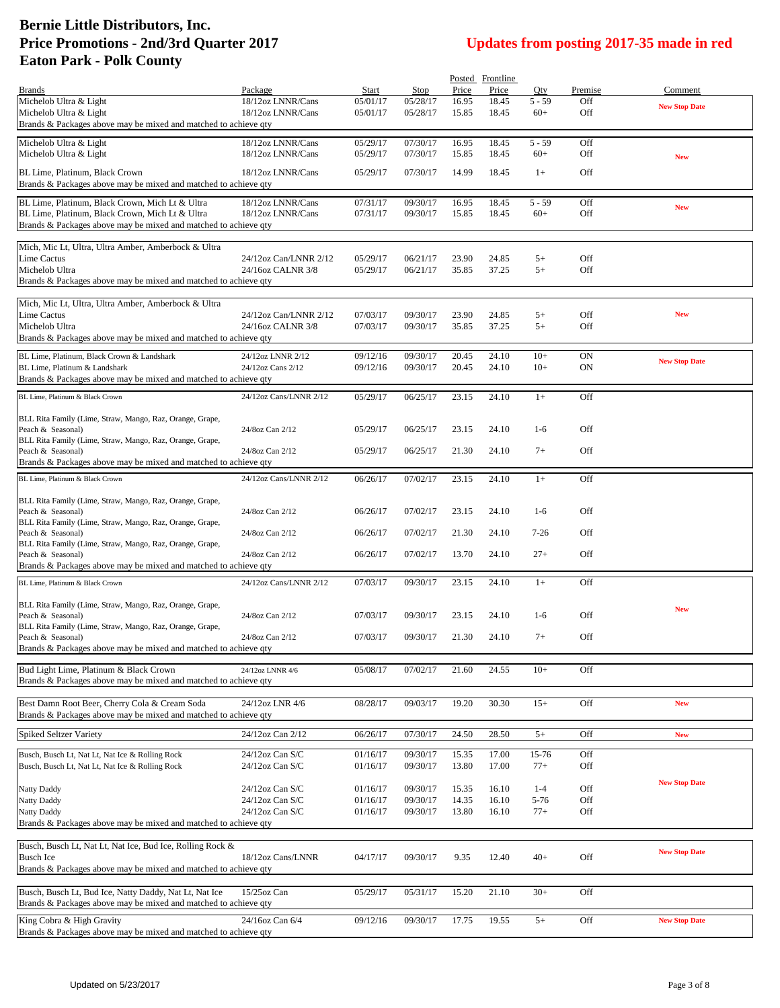|                                                                                                           |                                        |                      |                      |                | Posted Frontline |                   |            |                      |
|-----------------------------------------------------------------------------------------------------------|----------------------------------------|----------------------|----------------------|----------------|------------------|-------------------|------------|----------------------|
| <b>Brands</b>                                                                                             | Package                                | Start                | Stop                 | Price          | Price            | Oty               | Premise    | Comment              |
| Michelob Ultra & Light<br>Michelob Ultra & Light                                                          | 18/12oz LNNR/Cans<br>18/12oz LNNR/Cans | 05/01/17<br>05/01/17 | 05/28/17<br>05/28/17 | 16.95<br>15.85 | 18.45<br>18.45   | $5 - 59$<br>$60+$ | Off<br>Off | <b>New Stop Date</b> |
| Brands & Packages above may be mixed and matched to achieve qty                                           |                                        |                      |                      |                |                  |                   |            |                      |
| Michelob Ultra & Light                                                                                    | 18/12oz LNNR/Cans                      | 05/29/17             | 07/30/17             | 16.95          | 18.45            | $5 - 59$          | Off        |                      |
| Michelob Ultra & Light                                                                                    | 18/12oz LNNR/Cans                      | 05/29/17             | 07/30/17             | 15.85          | 18.45            | $60+$             | Off        | <b>New</b>           |
| BL Lime, Platinum, Black Crown                                                                            | 18/12oz LNNR/Cans                      | 05/29/17             | 07/30/17             | 14.99          | 18.45            | $1+$              | Off        |                      |
| Brands & Packages above may be mixed and matched to achieve qty                                           |                                        |                      |                      |                |                  |                   |            |                      |
| BL Lime, Platinum, Black Crown, Mich Lt & Ultra                                                           | 18/12oz LNNR/Cans                      |                      |                      |                |                  |                   |            |                      |
| BL Lime, Platinum, Black Crown, Mich Lt & Ultra                                                           | 18/12oz LNNR/Cans                      | 07/31/17<br>07/31/17 | 09/30/17<br>09/30/17 | 16.95<br>15.85 | 18.45<br>18.45   | $5 - 59$<br>$60+$ | Off<br>Off | <b>New</b>           |
| Brands & Packages above may be mixed and matched to achieve qty                                           |                                        |                      |                      |                |                  |                   |            |                      |
|                                                                                                           |                                        |                      |                      |                |                  |                   |            |                      |
| Mich, Mic Lt, Ultra, Ultra Amber, Amberbock & Ultra<br>Lime Cactus                                        | 24/12oz Can/LNNR 2/12                  | 05/29/17             | 06/21/17             | 23.90          | 24.85            | $5+$              | Off        |                      |
| Michelob Ultra                                                                                            | 24/16oz CALNR 3/8                      | 05/29/17             | 06/21/17             | 35.85          | 37.25            | $5+$              | Off        |                      |
| Brands & Packages above may be mixed and matched to achieve qty                                           |                                        |                      |                      |                |                  |                   |            |                      |
|                                                                                                           |                                        |                      |                      |                |                  |                   |            |                      |
| Mich, Mic Lt, Ultra, Ultra Amber, Amberbock & Ultra<br>Lime Cactus                                        | 24/12oz Can/LNNR 2/12                  | 07/03/17             | 09/30/17             | 23.90          | 24.85            | $5+$              | Off        | <b>New</b>           |
| Michelob Ultra                                                                                            | 24/16oz CALNR 3/8                      | 07/03/17             | 09/30/17             | 35.85          | 37.25            | $5+$              | Off        |                      |
| Brands & Packages above may be mixed and matched to achieve qty                                           |                                        |                      |                      |                |                  |                   |            |                      |
| BL Lime, Platinum, Black Crown & Landshark                                                                | 24/12oz LNNR 2/12                      | 09/12/16             | 09/30/17             | 20.45          | 24.10            | $10+$             | ON         |                      |
| BL Lime, Platinum & Landshark                                                                             | 24/12oz Cans 2/12                      | 09/12/16             | 09/30/17             | 20.45          | 24.10            | $10+$             | ON         | <b>New Stop Date</b> |
| Brands & Packages above may be mixed and matched to achieve qty                                           |                                        |                      |                      |                |                  |                   |            |                      |
| BL Lime. Platinum & Black Crown                                                                           | 24/12oz Cans/LNNR 2/12                 | 05/29/17             | 06/25/17             | 23.15          | 24.10            | $1+$              | Off        |                      |
| BLL Rita Family (Lime, Straw, Mango, Raz, Orange, Grape,<br>Peach & Seasonal)                             |                                        |                      |                      |                |                  | $1-6$             | Off        |                      |
| BLL Rita Family (Lime, Straw, Mango, Raz, Orange, Grape,                                                  | 24/8oz Can 2/12                        | 05/29/17             | 06/25/17             | 23.15          | 24.10            |                   |            |                      |
| Peach & Seasonal)                                                                                         | 24/8oz Can 2/12                        | 05/29/17             | 06/25/17             | 21.30          | 24.10            | $7+$              | Off        |                      |
| Brands & Packages above may be mixed and matched to achieve qty                                           |                                        |                      |                      |                |                  |                   |            |                      |
| BL Lime, Platinum & Black Crown                                                                           | 24/12oz Cans/LNNR 2/12                 | 06/26/17             | 07/02/17             | 23.15          | 24.10            | $1+$              | Off        |                      |
| BLL Rita Family (Lime, Straw, Mango, Raz, Orange, Grape,                                                  |                                        |                      |                      |                |                  |                   |            |                      |
| Peach & Seasonal)                                                                                         | 24/8oz Can 2/12                        | 06/26/17             | 07/02/17             | 23.15          | 24.10            | $1-6$             | <b>Off</b> |                      |
| BLL Rita Family (Lime, Straw, Mango, Raz, Orange, Grape,<br>Peach & Seasonal)                             | 24/8oz Can 2/12                        | 06/26/17             | 07/02/17             | 21.30          | 24.10            | $7 - 26$          | Off        |                      |
| BLL Rita Family (Lime, Straw, Mango, Raz, Orange, Grape,                                                  |                                        |                      |                      |                |                  |                   |            |                      |
| Peach & Seasonal)                                                                                         | 24/8oz Can 2/12                        | 06/26/17             | 07/02/17             | 13.70          | 24.10            | $27+$             | Off        |                      |
| Brands & Packages above may be mixed and matched to achieve qty                                           |                                        |                      |                      |                |                  |                   |            |                      |
| BL Lime, Platinum & Black Crown                                                                           | 24/12oz Cans/LNNR 2/12                 | 07/03/17             | 09/30/17             | 23.15          | 24.10            | $1+$              | Off        |                      |
| BLL Rita Family (Lime, Straw, Mango, Raz, Orange, Grape,                                                  |                                        |                      |                      |                |                  |                   |            |                      |
| Peach & Seasonal)                                                                                         | 24/8oz Can 2/12                        | 07/03/17             | 09/30/17             | 23.15          | 24.10            | $1-6$             | Off        | <b>New</b>           |
| BLL Rita Family (Lime, Straw, Mango, Raz, Orange, Grape,                                                  |                                        | 07/03/17             | 09/30/17             | 21.30          |                  | $7+$              | Off        |                      |
| Peach & Seasonal)<br>Brands & Packages above may be mixed and matched to achieve qty                      | 24/8oz Can 2/12                        |                      |                      |                | 24.10            |                   |            |                      |
|                                                                                                           |                                        |                      |                      |                |                  |                   |            |                      |
| Bud Light Lime, Platinum & Black Crown<br>Brands & Packages above may be mixed and matched to achieve qty | 24/12oz LNNR 4/6                       | 05/08/17             | 07/02/17             | 21.60          | 24.55            | $10+$             | Off        |                      |
|                                                                                                           |                                        |                      |                      |                |                  |                   |            |                      |
| Best Damn Root Beer, Cherry Cola & Cream Soda                                                             | 24/12oz LNR 4/6                        | 08/28/17             | 09/03/17             | 19.20          | 30.30            | $15+$             | Off        | <b>New</b>           |
| Brands & Packages above may be mixed and matched to achieve qty                                           |                                        |                      |                      |                |                  |                   |            |                      |
| Spiked Seltzer Variety                                                                                    | 24/12oz Can 2/12                       | 06/26/17             | 07/30/17             | 24.50          | 28.50            | $5+$              | Off        | <b>New</b>           |
| Busch, Busch Lt, Nat Lt, Nat Ice & Rolling Rock                                                           | 24/12oz Can S/C                        | 01/16/17             | 09/30/17             | 15.35          | 17.00            | $15 - 76$         | Off        |                      |
| Busch, Busch Lt, Nat Lt, Nat Ice & Rolling Rock                                                           | 24/12oz Can S/C                        | 01/16/17             | 09/30/17             | 13.80          | 17.00            | $77+$             | Off        |                      |
|                                                                                                           |                                        |                      |                      |                |                  |                   |            | <b>New Stop Date</b> |
| Natty Daddy<br><b>Natty Daddy</b>                                                                         | 24/12oz Can S/C<br>24/12oz Can S/C     | 01/16/17<br>01/16/17 | 09/30/17<br>09/30/17 | 15.35<br>14.35 | 16.10<br>16.10   | $1-4$<br>5-76     | Off<br>Off |                      |
| Natty Daddy                                                                                               | 24/12oz Can S/C                        | 01/16/17             | 09/30/17             | 13.80          | 16.10            | $77+$             | Off        |                      |
| Brands & Packages above may be mixed and matched to achieve qty                                           |                                        |                      |                      |                |                  |                   |            |                      |
| Busch, Busch Lt, Nat Lt, Nat Ice, Bud Ice, Rolling Rock &                                                 |                                        |                      |                      |                |                  |                   |            |                      |
| <b>Busch Ice</b>                                                                                          | 18/12oz Cans/LNNR                      | 04/17/17             | 09/30/17             | 9.35           | 12.40            | $40+$             | Off        | <b>New Stop Date</b> |
| Brands & Packages above may be mixed and matched to achieve qty                                           |                                        |                      |                      |                |                  |                   |            |                      |
|                                                                                                           |                                        |                      |                      |                |                  |                   |            |                      |
| Busch, Busch Lt, Bud Ice, Natty Daddy, Nat Lt, Nat Ice                                                    | $15/25$ oz Can                         | 05/29/17             | 05/31/17             | 15.20          | 21.10            | $30+$             | Off        |                      |
| Brands & Packages above may be mixed and matched to achieve qty                                           |                                        |                      |                      |                |                  |                   |            |                      |
| King Cobra & High Gravity<br>Brands & Packages above may be mixed and matched to achieve qty              | 24/16oz Can 6/4                        | 09/12/16             | 09/30/17             | 17.75          | 19.55            | $5+$              | Off        | <b>New Stop Date</b> |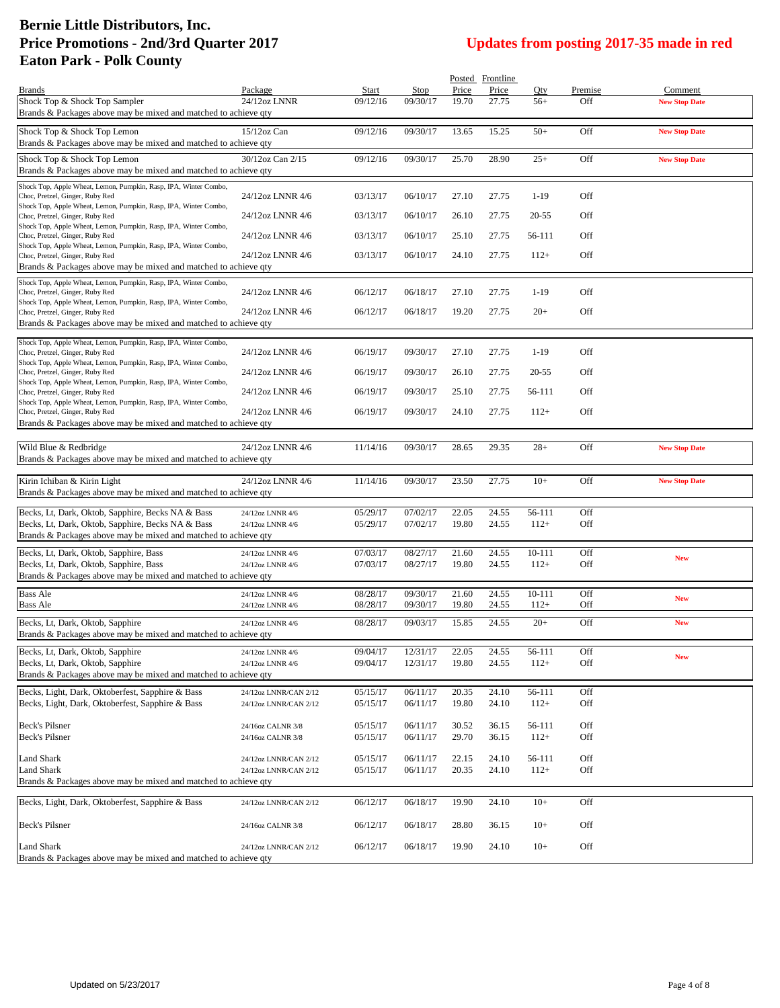|                                                                                                     |                       |          |          |                | Posted Frontline |        |         |                      |
|-----------------------------------------------------------------------------------------------------|-----------------------|----------|----------|----------------|------------------|--------|---------|----------------------|
| <b>Brands</b>                                                                                       | Package               | Start    | Stop     | Price          | Price            | Oty    | Premise | Comment              |
| Shock Top & Shock Top Sampler                                                                       | 24/12oz LNNR          | 09/12/16 | 09/30/17 | 19.70          | 27.75            | $56+$  | Off     | <b>New Stop Date</b> |
| Brands & Packages above may be mixed and matched to achieve qty                                     |                       |          |          |                |                  |        |         |                      |
|                                                                                                     | 15/12oz Can           | 09/12/16 |          |                |                  |        | Off     |                      |
| Shock Top & Shock Top Lemon                                                                         |                       |          | 09/30/17 | 13.65          | 15.25            | $50+$  |         | <b>New Stop Date</b> |
| Brands & Packages above may be mixed and matched to achieve qty                                     |                       |          |          |                |                  |        |         |                      |
| Shock Top & Shock Top Lemon                                                                         | 30/12oz Can 2/15      | 09/12/16 | 09/30/17 | 25.70          | 28.90            | $25+$  | Off     | <b>New Stop Date</b> |
| Brands & Packages above may be mixed and matched to achieve qty                                     |                       |          |          |                |                  |        |         |                      |
| Shock Top, Apple Wheat, Lemon, Pumpkin, Rasp, IPA, Winter Combo,                                    |                       |          |          |                |                  |        |         |                      |
| Choc, Pretzel, Ginger, Ruby Red                                                                     | 24/12oz LNNR 4/6      | 03/13/17 | 06/10/17 | 27.10          | 27.75            | $1-19$ | Off     |                      |
| Shock Top, Apple Wheat, Lemon, Pumpkin, Rasp, IPA, Winter Combo,                                    |                       |          |          |                |                  |        |         |                      |
| Choc, Pretzel, Ginger, Ruby Red                                                                     | 24/12oz LNNR 4/6      | 03/13/17 | 06/10/17 | 26.10          | 27.75            | 20-55  | Off     |                      |
| Shock Top, Apple Wheat, Lemon, Pumpkin, Rasp, IPA, Winter Combo,                                    |                       |          |          |                |                  |        |         |                      |
| Choc, Pretzel, Ginger, Ruby Red                                                                     | 24/12oz LNNR 4/6      | 03/13/17 | 06/10/17 | 25.10          | 27.75            | 56-111 | Off     |                      |
| Shock Top, Apple Wheat, Lemon, Pumpkin, Rasp, IPA, Winter Combo,<br>Choc, Pretzel, Ginger, Ruby Red | 24/12oz LNNR 4/6      | 03/13/17 | 06/10/17 | 24.10          | 27.75            | $112+$ | Off     |                      |
| Brands & Packages above may be mixed and matched to achieve qty                                     |                       |          |          |                |                  |        |         |                      |
|                                                                                                     |                       |          |          |                |                  |        |         |                      |
| Shock Top, Apple Wheat, Lemon, Pumpkin, Rasp, IPA, Winter Combo,                                    |                       |          |          |                |                  |        |         |                      |
| Choc, Pretzel, Ginger, Ruby Red                                                                     | 24/12oz LNNR 4/6      | 06/12/17 | 06/18/17 | 27.10          | 27.75            | $1-19$ | Off     |                      |
| Shock Top, Apple Wheat, Lemon, Pumpkin, Rasp, IPA, Winter Combo,<br>Choc, Pretzel, Ginger, Ruby Red | 24/12oz LNNR 4/6      | 06/12/17 | 06/18/17 | 19.20          | 27.75            | $20+$  | Off     |                      |
| Brands & Packages above may be mixed and matched to achieve qty                                     |                       |          |          |                |                  |        |         |                      |
|                                                                                                     |                       |          |          |                |                  |        |         |                      |
| Shock Top, Apple Wheat, Lemon, Pumpkin, Rasp, IPA, Winter Combo,                                    |                       |          |          |                |                  |        |         |                      |
| Choc, Pretzel, Ginger, Ruby Red                                                                     | 24/12oz LNNR 4/6      | 06/19/17 | 09/30/17 | 27.10          | 27.75            | $1-19$ | Off     |                      |
| Shock Top, Apple Wheat, Lemon, Pumpkin, Rasp, IPA, Winter Combo,                                    |                       |          |          |                |                  |        |         |                      |
| Choc, Pretzel, Ginger, Ruby Red                                                                     | 24/12oz LNNR 4/6      | 06/19/17 | 09/30/17 | 26.10          | 27.75            | 20-55  | Off     |                      |
| Shock Top, Apple Wheat, Lemon, Pumpkin, Rasp, IPA, Winter Combo,                                    |                       |          |          |                |                  |        |         |                      |
| Choc, Pretzel, Ginger, Ruby Red                                                                     | 24/12oz LNNR 4/6      | 06/19/17 | 09/30/17 | 25.10          | 27.75            | 56-111 | Off     |                      |
| Shock Top, Apple Wheat, Lemon, Pumpkin, Rasp, IPA, Winter Combo,<br>Choc, Pretzel, Ginger, Ruby Red | 24/12oz LNNR 4/6      | 06/19/17 | 09/30/17 | 24.10          | 27.75            | $112+$ | Off     |                      |
| Brands & Packages above may be mixed and matched to achieve qty                                     |                       |          |          |                |                  |        |         |                      |
|                                                                                                     |                       |          |          |                |                  |        |         |                      |
| Wild Blue & Redbridge                                                                               | 24/12oz LNNR 4/6      | 11/14/16 | 09/30/17 | 28.65          | 29.35            | $28 +$ | Off     | <b>New Stop Date</b> |
|                                                                                                     |                       |          |          |                |                  |        |         |                      |
| Brands & Packages above may be mixed and matched to achieve qty                                     |                       |          |          |                |                  |        |         |                      |
| Kirin Ichiban & Kirin Light                                                                         | 24/12oz LNNR 4/6      | 11/14/16 | 09/30/17 | 23.50          | 27.75            | $10+$  | Off     | <b>New Stop Date</b> |
| Brands & Packages above may be mixed and matched to achieve qty                                     |                       |          |          |                |                  |        |         |                      |
|                                                                                                     |                       |          |          |                |                  |        |         |                      |
|                                                                                                     |                       |          |          |                | 24.55            | 56-111 | Off     |                      |
|                                                                                                     |                       |          |          |                |                  |        |         |                      |
| Becks, Lt, Dark, Oktob, Sapphire, Becks NA & Bass                                                   | 24/12oz LNNR 4/6      | 05/29/17 | 07/02/17 | 22.05<br>19.80 | 24.55            |        | Off     |                      |
| Becks, Lt, Dark, Oktob, Sapphire, Becks NA & Bass                                                   | 24/12oz LNNR 4/6      | 05/29/17 | 07/02/17 |                |                  | $112+$ |         |                      |
| Brands & Packages above may be mixed and matched to achieve qty                                     |                       |          |          |                |                  |        |         |                      |
| Becks, Lt, Dark, Oktob, Sapphire, Bass                                                              | 24/12oz LNNR 4/6      | 07/03/17 | 08/27/17 | 21.60          | 24.55            | 10-111 | Off     |                      |
| Becks, Lt, Dark, Oktob, Sapphire, Bass                                                              | 24/12oz LNNR 4/6      | 07/03/17 | 08/27/17 | 19.80          | 24.55            | $112+$ | Off     | <b>New</b>           |
| Brands & Packages above may be mixed and matched to achieve qty                                     |                       |          |          |                |                  |        |         |                      |
|                                                                                                     |                       |          |          |                |                  |        |         |                      |
| <b>Bass Ale</b>                                                                                     | 24/12oz LNNR 4/6      | 08/28/17 | 09/30/17 | 21.60          | 24.55            | 10-111 | Off     | <b>New</b>           |
| <b>Bass Ale</b>                                                                                     | 24/12oz LNNR 4/6      | 08/28/17 | 09/30/17 | 19.80          | 24.55            | $112+$ | Off     |                      |
| Becks, Lt, Dark, Oktob, Sapphire                                                                    | 24/12oz LNNR 4/6      | 08/28/17 | 09/03/17 | 15.85          | 24.55            | $20+$  | Off     | <b>New</b>           |
| Brands & Packages above may be mixed and matched to achieve qty                                     |                       |          |          |                |                  |        |         |                      |
|                                                                                                     |                       |          |          |                |                  |        |         |                      |
| Becks, Lt, Dark, Oktob, Sapphire                                                                    | 24/12oz LNNR 4/6      | 09/04/17 | 12/31/17 | 22.05          | 24.55            | 56-111 | Off     | <b>New</b>           |
| Becks, Lt, Dark, Oktob, Sapphire                                                                    | 24/12oz LNNR 4/6      | 09/04/17 | 12/31/17 | 19.80          | 24.55            | $112+$ | Off     |                      |
| Brands & Packages above may be mixed and matched to achieve qty                                     |                       |          |          |                |                  |        |         |                      |
| Becks, Light, Dark, Oktoberfest, Sapphire & Bass                                                    | 24/12oz LNNR/CAN 2/12 | 05/15/17 | 06/11/17 | 20.35          | 24.10            | 56-111 | Off     |                      |
| Becks, Light, Dark, Oktoberfest, Sapphire & Bass                                                    | 24/12oz LNNR/CAN 2/12 | 05/15/17 | 06/11/17 | 19.80          | 24.10            | $112+$ | Off     |                      |
|                                                                                                     |                       |          |          |                |                  |        |         |                      |
| Beck's Pilsner                                                                                      | 24/16oz CALNR 3/8     | 05/15/17 | 06/11/17 | 30.52          | 36.15            | 56-111 | Off     |                      |
| <b>Beck's Pilsner</b>                                                                               | 24/16oz CALNR 3/8     | 05/15/17 | 06/11/17 | 29.70          | 36.15            | $112+$ | Off     |                      |
|                                                                                                     |                       |          |          |                |                  |        |         |                      |
| Land Shark                                                                                          | 24/12oz LNNR/CAN 2/12 | 05/15/17 | 06/11/17 | 22.15          | 24.10            | 56-111 | Off     |                      |
| Land Shark                                                                                          | 24/12oz LNNR/CAN 2/12 | 05/15/17 | 06/11/17 | 20.35          | 24.10            | $112+$ | Off     |                      |
| Brands & Packages above may be mixed and matched to achieve qty                                     |                       |          |          |                |                  |        |         |                      |
|                                                                                                     |                       |          |          |                |                  |        |         |                      |
| Becks, Light, Dark, Oktoberfest, Sapphire & Bass                                                    | 24/12oz LNNR/CAN 2/12 | 06/12/17 | 06/18/17 | 19.90          | 24.10            | $10+$  | Off     |                      |
|                                                                                                     |                       |          |          |                |                  |        |         |                      |
| Beck's Pilsner                                                                                      | 24/16oz CALNR 3/8     | 06/12/17 | 06/18/17 | 28.80          | 36.15            | $10+$  | Off     |                      |
|                                                                                                     |                       |          |          |                |                  |        |         |                      |
| Land Shark<br>Brands & Packages above may be mixed and matched to achieve qty                       | 24/12oz LNNR/CAN 2/12 | 06/12/17 | 06/18/17 | 19.90          | 24.10            | $10+$  | Off     |                      |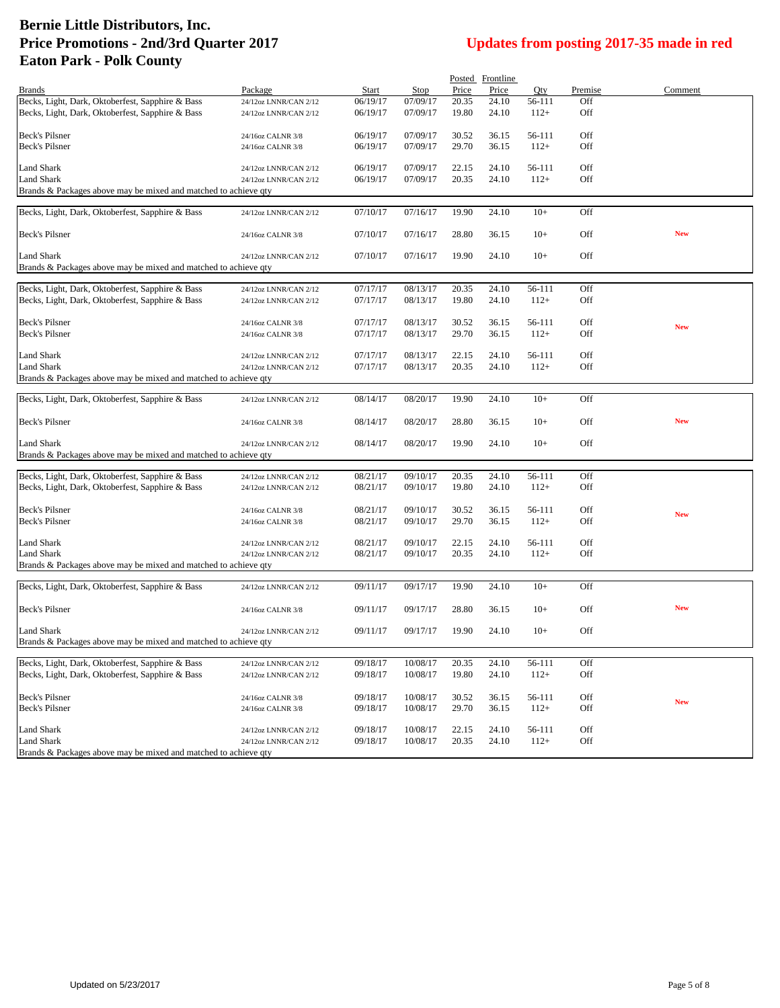| Price<br>Price<br>Qty<br>Premise<br>Comment<br><b>Brands</b><br>Package<br>Start<br>Stop<br>Becks, Light, Dark, Oktoberfest, Sapphire & Bass<br>06/19/17<br>07/09/17<br>20.35<br>24.10<br>56-111<br>Off<br>24/12oz LNNR/CAN 2/12<br>Becks, Light, Dark, Oktoberfest, Sapphire & Bass<br>Off<br>06/19/17<br>07/09/17<br>19.80<br>24.10<br>$112+$<br>24/12oz LNNR/CAN 2/12<br>Beck's Pilsner<br>06/19/17<br>07/09/17<br>56-111<br>Off<br>30.52<br>36.15<br>24/16oz CALNR 3/8<br>Beck's Pilsner<br>29.70<br>$112+$<br>Off<br>06/19/17<br>07/09/17<br>36.15<br>24/16oz CALNR 3/8<br>Land Shark<br>06/19/17<br>07/09/17<br>22.15<br>24.10<br>56-111<br>Off<br>24/12oz LNNR/CAN 2/12<br>Land Shark<br>06/19/17<br>07/09/17<br>20.35<br>24.10<br>$112+$<br>Off<br>24/12oz LNNR/CAN 2/12<br>Brands & Packages above may be mixed and matched to achieve qty<br>Becks, Light, Dark, Oktoberfest, Sapphire & Bass<br>07/10/17<br>07/16/17<br>19.90<br>24.10<br>$10+$<br>Off<br>24/12oz LNNR/CAN 2/12<br>Beck's Pilsner<br>07/10/17<br>07/16/17<br>Off<br><b>New</b><br>28.80<br>36.15<br>$10+$<br>24/16oz CALNR 3/8<br>Land Shark<br>07/10/17<br>07/16/17<br>19.90<br>24.10<br>$10+$<br>Off<br>24/12oz LNNR/CAN 2/12<br>Brands & Packages above may be mixed and matched to achieve qty<br>Becks, Light, Dark, Oktoberfest, Sapphire & Bass<br>07/17/17<br>08/13/17<br>20.35<br>56-111<br>Off<br>24.10<br>24/12oz LNNR/CAN 2/12<br>Becks, Light, Dark, Oktoberfest, Sapphire & Bass<br>19.80<br>24.10<br>$112+$<br>Off<br>07/17/17<br>08/13/17<br>24/12oz LNNR/CAN 2/12<br>Beck's Pilsner<br>07/17/17<br>08/13/17<br>30.52<br>36.15<br>56-111<br>Off<br>24/16oz CALNR 3/8<br><b>New</b><br>Beck's Pilsner<br>Off<br>07/17/17<br>08/13/17<br>29.70<br>36.15<br>$112+$<br>24/16oz CALNR 3/8<br>Land Shark<br>07/17/17<br>08/13/17<br>22.15<br>24.10<br>Off<br>56-111<br>24/12oz LNNR/CAN 2/12<br>Land Shark<br>07/17/17<br>08/13/17<br>20.35<br>$112+$<br>Off<br>24.10<br>24/12oz LNNR/CAN 2/12<br>Brands & Packages above may be mixed and matched to achieve qty<br>19.90<br>24.10<br>Off<br>Becks, Light, Dark, Oktoberfest, Sapphire & Bass<br>08/14/17<br>08/20/17<br>$10+$<br>24/12oz LNNR/CAN 2/12<br><b>New</b><br>Beck's Pilsner<br>$10+$<br>Off<br>08/14/17<br>08/20/17<br>28.80<br>36.15<br>24/16oz CALNR 3/8<br>Land Shark<br>08/14/17<br>08/20/17<br>19.90<br>24.10<br>$10+$<br>Off<br>24/12oz LNNR/CAN 2/12<br>Brands & Packages above may be mixed and matched to achieve qty<br>Becks, Light, Dark, Oktoberfest, Sapphire & Bass<br>Off<br>08/21/17<br>09/10/17<br>20.35<br>24.10<br>56-111<br>24/12oz LNNR/CAN 2/12<br>Becks, Light, Dark, Oktoberfest, Sapphire & Bass<br>08/21/17<br>09/10/17<br>19.80<br>24.10<br>$112+$<br>Off<br>24/12oz LNNR/CAN 2/12<br>Beck's Pilsner<br>08/21/17<br>09/10/17<br>30.52<br>56-111<br>Off<br>36.15<br>24/16oz CALNR 3/8<br><b>New</b><br>Beck's Pilsner<br>08/21/17<br>29.70<br>36.15<br>$112+$<br>Off<br>09/10/17<br>24/16oz CALNR 3/8<br>Land Shark<br>08/21/17<br>09/10/17<br>Off<br>22.15<br>24.10<br>56-111<br>24/12oz LNNR/CAN 2/12<br>Land Shark<br>08/21/17<br>09/10/17<br>20.35<br>24.10<br>$112+$<br>Off<br>24/12oz LNNR/CAN 2/12<br>Brands & Packages above may be mixed and matched to achieve qty<br>Becks, Light, Dark, Oktoberfest, Sapphire & Bass<br>09/17/17<br>19.90<br>24.10<br>$10+$<br>Off<br>09/11/17<br>24/12oz LNNR/CAN 2/12<br>Beck's Pilsner<br><b>New</b><br>$10+$<br>Off<br>09/11/17<br>09/17/17<br>28.80<br>36.15<br>24/16oz CALNR 3/8<br>Off<br><b>Land Shark</b><br>09/11/17<br>09/17/17<br>19.90<br>24.10<br>$10+$<br>24/12oz LNNR/CAN 2/12<br>Brands & Packages above may be mixed and matched to achieve qty<br>Becks, Light, Dark, Oktoberfest, Sapphire & Bass<br>09/18/17<br>10/08/17<br>20.35<br>24.10<br>56-111<br>Off<br>24/12oz LNNR/CAN 2/12<br>Becks, Light, Dark, Oktoberfest, Sapphire & Bass<br>Off<br>09/18/17<br>10/08/17<br>19.80<br>24.10<br>$112+$<br>24/12oz LNNR/CAN 2/12<br><b>Beck's Pilsner</b><br>09/18/17<br>10/08/17<br>30.52<br>36.15<br>56-111<br>Off<br>24/16oz CALNR 3/8<br><b>New</b><br>Beck's Pilsner<br>09/18/17<br>10/08/17<br>29.70<br>$112+$<br>Off<br>36.15<br>24/16oz CALNR 3/8<br>Land Shark<br>Off<br>09/18/17<br>10/08/17<br>24.10<br>24/12oz LNNR/CAN 2/12<br>22.15<br>56-111<br>Land Shark<br>09/18/17<br>10/08/17<br>20.35<br>24.10<br>$112+$<br>Off<br>24/12oz LNNR/CAN 2/12<br>Brands & Packages above may be mixed and matched to achieve qty |  |  |  |  |  |
|----------------------------------------------------------------------------------------------------------------------------------------------------------------------------------------------------------------------------------------------------------------------------------------------------------------------------------------------------------------------------------------------------------------------------------------------------------------------------------------------------------------------------------------------------------------------------------------------------------------------------------------------------------------------------------------------------------------------------------------------------------------------------------------------------------------------------------------------------------------------------------------------------------------------------------------------------------------------------------------------------------------------------------------------------------------------------------------------------------------------------------------------------------------------------------------------------------------------------------------------------------------------------------------------------------------------------------------------------------------------------------------------------------------------------------------------------------------------------------------------------------------------------------------------------------------------------------------------------------------------------------------------------------------------------------------------------------------------------------------------------------------------------------------------------------------------------------------------------------------------------------------------------------------------------------------------------------------------------------------------------------------------------------------------------------------------------------------------------------------------------------------------------------------------------------------------------------------------------------------------------------------------------------------------------------------------------------------------------------------------------------------------------------------------------------------------------------------------------------------------------------------------------------------------------------------------------------------------------------------------------------------------------------------------------------------------------------------------------------------------------------------------------------------------------------------------------------------------------------------------------------------------------------------------------------------------------------------------------------------------------------------------------------------------------------------------------------------------------------------------------------------------------------------------------------------------------------------------------------------------------------------------------------------------------------------------------------------------------------------------------------------------------------------------------------------------------------------------------------------------------------------------------------------------------------------------------------------------------------------------------------------------------------------------------------------------------------------------------------------------------------------------------------------------------------------------------------------------------------------------------------------------------------------------------------------------------------------------------------------------------------------------------------------------------------------------------------------------------------------------------------------------------------------------------------------------------------------------------------------------------------------------------------------------------------------------------------------------------------------------------------------------------------------------------------------------------------------------------|--|--|--|--|--|
|                                                                                                                                                                                                                                                                                                                                                                                                                                                                                                                                                                                                                                                                                                                                                                                                                                                                                                                                                                                                                                                                                                                                                                                                                                                                                                                                                                                                                                                                                                                                                                                                                                                                                                                                                                                                                                                                                                                                                                                                                                                                                                                                                                                                                                                                                                                                                                                                                                                                                                                                                                                                                                                                                                                                                                                                                                                                                                                                                                                                                                                                                                                                                                                                                                                                                                                                                                                                                                                                                                                                                                                                                                                                                                                                                                                                                                                                                                                                                                                                                                                                                                                                                                                                                                                                                                                                                                                                                                                                            |  |  |  |  |  |
|                                                                                                                                                                                                                                                                                                                                                                                                                                                                                                                                                                                                                                                                                                                                                                                                                                                                                                                                                                                                                                                                                                                                                                                                                                                                                                                                                                                                                                                                                                                                                                                                                                                                                                                                                                                                                                                                                                                                                                                                                                                                                                                                                                                                                                                                                                                                                                                                                                                                                                                                                                                                                                                                                                                                                                                                                                                                                                                                                                                                                                                                                                                                                                                                                                                                                                                                                                                                                                                                                                                                                                                                                                                                                                                                                                                                                                                                                                                                                                                                                                                                                                                                                                                                                                                                                                                                                                                                                                                                            |  |  |  |  |  |
|                                                                                                                                                                                                                                                                                                                                                                                                                                                                                                                                                                                                                                                                                                                                                                                                                                                                                                                                                                                                                                                                                                                                                                                                                                                                                                                                                                                                                                                                                                                                                                                                                                                                                                                                                                                                                                                                                                                                                                                                                                                                                                                                                                                                                                                                                                                                                                                                                                                                                                                                                                                                                                                                                                                                                                                                                                                                                                                                                                                                                                                                                                                                                                                                                                                                                                                                                                                                                                                                                                                                                                                                                                                                                                                                                                                                                                                                                                                                                                                                                                                                                                                                                                                                                                                                                                                                                                                                                                                                            |  |  |  |  |  |
|                                                                                                                                                                                                                                                                                                                                                                                                                                                                                                                                                                                                                                                                                                                                                                                                                                                                                                                                                                                                                                                                                                                                                                                                                                                                                                                                                                                                                                                                                                                                                                                                                                                                                                                                                                                                                                                                                                                                                                                                                                                                                                                                                                                                                                                                                                                                                                                                                                                                                                                                                                                                                                                                                                                                                                                                                                                                                                                                                                                                                                                                                                                                                                                                                                                                                                                                                                                                                                                                                                                                                                                                                                                                                                                                                                                                                                                                                                                                                                                                                                                                                                                                                                                                                                                                                                                                                                                                                                                                            |  |  |  |  |  |
|                                                                                                                                                                                                                                                                                                                                                                                                                                                                                                                                                                                                                                                                                                                                                                                                                                                                                                                                                                                                                                                                                                                                                                                                                                                                                                                                                                                                                                                                                                                                                                                                                                                                                                                                                                                                                                                                                                                                                                                                                                                                                                                                                                                                                                                                                                                                                                                                                                                                                                                                                                                                                                                                                                                                                                                                                                                                                                                                                                                                                                                                                                                                                                                                                                                                                                                                                                                                                                                                                                                                                                                                                                                                                                                                                                                                                                                                                                                                                                                                                                                                                                                                                                                                                                                                                                                                                                                                                                                                            |  |  |  |  |  |
|                                                                                                                                                                                                                                                                                                                                                                                                                                                                                                                                                                                                                                                                                                                                                                                                                                                                                                                                                                                                                                                                                                                                                                                                                                                                                                                                                                                                                                                                                                                                                                                                                                                                                                                                                                                                                                                                                                                                                                                                                                                                                                                                                                                                                                                                                                                                                                                                                                                                                                                                                                                                                                                                                                                                                                                                                                                                                                                                                                                                                                                                                                                                                                                                                                                                                                                                                                                                                                                                                                                                                                                                                                                                                                                                                                                                                                                                                                                                                                                                                                                                                                                                                                                                                                                                                                                                                                                                                                                                            |  |  |  |  |  |
|                                                                                                                                                                                                                                                                                                                                                                                                                                                                                                                                                                                                                                                                                                                                                                                                                                                                                                                                                                                                                                                                                                                                                                                                                                                                                                                                                                                                                                                                                                                                                                                                                                                                                                                                                                                                                                                                                                                                                                                                                                                                                                                                                                                                                                                                                                                                                                                                                                                                                                                                                                                                                                                                                                                                                                                                                                                                                                                                                                                                                                                                                                                                                                                                                                                                                                                                                                                                                                                                                                                                                                                                                                                                                                                                                                                                                                                                                                                                                                                                                                                                                                                                                                                                                                                                                                                                                                                                                                                                            |  |  |  |  |  |
|                                                                                                                                                                                                                                                                                                                                                                                                                                                                                                                                                                                                                                                                                                                                                                                                                                                                                                                                                                                                                                                                                                                                                                                                                                                                                                                                                                                                                                                                                                                                                                                                                                                                                                                                                                                                                                                                                                                                                                                                                                                                                                                                                                                                                                                                                                                                                                                                                                                                                                                                                                                                                                                                                                                                                                                                                                                                                                                                                                                                                                                                                                                                                                                                                                                                                                                                                                                                                                                                                                                                                                                                                                                                                                                                                                                                                                                                                                                                                                                                                                                                                                                                                                                                                                                                                                                                                                                                                                                                            |  |  |  |  |  |
|                                                                                                                                                                                                                                                                                                                                                                                                                                                                                                                                                                                                                                                                                                                                                                                                                                                                                                                                                                                                                                                                                                                                                                                                                                                                                                                                                                                                                                                                                                                                                                                                                                                                                                                                                                                                                                                                                                                                                                                                                                                                                                                                                                                                                                                                                                                                                                                                                                                                                                                                                                                                                                                                                                                                                                                                                                                                                                                                                                                                                                                                                                                                                                                                                                                                                                                                                                                                                                                                                                                                                                                                                                                                                                                                                                                                                                                                                                                                                                                                                                                                                                                                                                                                                                                                                                                                                                                                                                                                            |  |  |  |  |  |
|                                                                                                                                                                                                                                                                                                                                                                                                                                                                                                                                                                                                                                                                                                                                                                                                                                                                                                                                                                                                                                                                                                                                                                                                                                                                                                                                                                                                                                                                                                                                                                                                                                                                                                                                                                                                                                                                                                                                                                                                                                                                                                                                                                                                                                                                                                                                                                                                                                                                                                                                                                                                                                                                                                                                                                                                                                                                                                                                                                                                                                                                                                                                                                                                                                                                                                                                                                                                                                                                                                                                                                                                                                                                                                                                                                                                                                                                                                                                                                                                                                                                                                                                                                                                                                                                                                                                                                                                                                                                            |  |  |  |  |  |
|                                                                                                                                                                                                                                                                                                                                                                                                                                                                                                                                                                                                                                                                                                                                                                                                                                                                                                                                                                                                                                                                                                                                                                                                                                                                                                                                                                                                                                                                                                                                                                                                                                                                                                                                                                                                                                                                                                                                                                                                                                                                                                                                                                                                                                                                                                                                                                                                                                                                                                                                                                                                                                                                                                                                                                                                                                                                                                                                                                                                                                                                                                                                                                                                                                                                                                                                                                                                                                                                                                                                                                                                                                                                                                                                                                                                                                                                                                                                                                                                                                                                                                                                                                                                                                                                                                                                                                                                                                                                            |  |  |  |  |  |
|                                                                                                                                                                                                                                                                                                                                                                                                                                                                                                                                                                                                                                                                                                                                                                                                                                                                                                                                                                                                                                                                                                                                                                                                                                                                                                                                                                                                                                                                                                                                                                                                                                                                                                                                                                                                                                                                                                                                                                                                                                                                                                                                                                                                                                                                                                                                                                                                                                                                                                                                                                                                                                                                                                                                                                                                                                                                                                                                                                                                                                                                                                                                                                                                                                                                                                                                                                                                                                                                                                                                                                                                                                                                                                                                                                                                                                                                                                                                                                                                                                                                                                                                                                                                                                                                                                                                                                                                                                                                            |  |  |  |  |  |
|                                                                                                                                                                                                                                                                                                                                                                                                                                                                                                                                                                                                                                                                                                                                                                                                                                                                                                                                                                                                                                                                                                                                                                                                                                                                                                                                                                                                                                                                                                                                                                                                                                                                                                                                                                                                                                                                                                                                                                                                                                                                                                                                                                                                                                                                                                                                                                                                                                                                                                                                                                                                                                                                                                                                                                                                                                                                                                                                                                                                                                                                                                                                                                                                                                                                                                                                                                                                                                                                                                                                                                                                                                                                                                                                                                                                                                                                                                                                                                                                                                                                                                                                                                                                                                                                                                                                                                                                                                                                            |  |  |  |  |  |
|                                                                                                                                                                                                                                                                                                                                                                                                                                                                                                                                                                                                                                                                                                                                                                                                                                                                                                                                                                                                                                                                                                                                                                                                                                                                                                                                                                                                                                                                                                                                                                                                                                                                                                                                                                                                                                                                                                                                                                                                                                                                                                                                                                                                                                                                                                                                                                                                                                                                                                                                                                                                                                                                                                                                                                                                                                                                                                                                                                                                                                                                                                                                                                                                                                                                                                                                                                                                                                                                                                                                                                                                                                                                                                                                                                                                                                                                                                                                                                                                                                                                                                                                                                                                                                                                                                                                                                                                                                                                            |  |  |  |  |  |
|                                                                                                                                                                                                                                                                                                                                                                                                                                                                                                                                                                                                                                                                                                                                                                                                                                                                                                                                                                                                                                                                                                                                                                                                                                                                                                                                                                                                                                                                                                                                                                                                                                                                                                                                                                                                                                                                                                                                                                                                                                                                                                                                                                                                                                                                                                                                                                                                                                                                                                                                                                                                                                                                                                                                                                                                                                                                                                                                                                                                                                                                                                                                                                                                                                                                                                                                                                                                                                                                                                                                                                                                                                                                                                                                                                                                                                                                                                                                                                                                                                                                                                                                                                                                                                                                                                                                                                                                                                                                            |  |  |  |  |  |
|                                                                                                                                                                                                                                                                                                                                                                                                                                                                                                                                                                                                                                                                                                                                                                                                                                                                                                                                                                                                                                                                                                                                                                                                                                                                                                                                                                                                                                                                                                                                                                                                                                                                                                                                                                                                                                                                                                                                                                                                                                                                                                                                                                                                                                                                                                                                                                                                                                                                                                                                                                                                                                                                                                                                                                                                                                                                                                                                                                                                                                                                                                                                                                                                                                                                                                                                                                                                                                                                                                                                                                                                                                                                                                                                                                                                                                                                                                                                                                                                                                                                                                                                                                                                                                                                                                                                                                                                                                                                            |  |  |  |  |  |
|                                                                                                                                                                                                                                                                                                                                                                                                                                                                                                                                                                                                                                                                                                                                                                                                                                                                                                                                                                                                                                                                                                                                                                                                                                                                                                                                                                                                                                                                                                                                                                                                                                                                                                                                                                                                                                                                                                                                                                                                                                                                                                                                                                                                                                                                                                                                                                                                                                                                                                                                                                                                                                                                                                                                                                                                                                                                                                                                                                                                                                                                                                                                                                                                                                                                                                                                                                                                                                                                                                                                                                                                                                                                                                                                                                                                                                                                                                                                                                                                                                                                                                                                                                                                                                                                                                                                                                                                                                                                            |  |  |  |  |  |
|                                                                                                                                                                                                                                                                                                                                                                                                                                                                                                                                                                                                                                                                                                                                                                                                                                                                                                                                                                                                                                                                                                                                                                                                                                                                                                                                                                                                                                                                                                                                                                                                                                                                                                                                                                                                                                                                                                                                                                                                                                                                                                                                                                                                                                                                                                                                                                                                                                                                                                                                                                                                                                                                                                                                                                                                                                                                                                                                                                                                                                                                                                                                                                                                                                                                                                                                                                                                                                                                                                                                                                                                                                                                                                                                                                                                                                                                                                                                                                                                                                                                                                                                                                                                                                                                                                                                                                                                                                                                            |  |  |  |  |  |
|                                                                                                                                                                                                                                                                                                                                                                                                                                                                                                                                                                                                                                                                                                                                                                                                                                                                                                                                                                                                                                                                                                                                                                                                                                                                                                                                                                                                                                                                                                                                                                                                                                                                                                                                                                                                                                                                                                                                                                                                                                                                                                                                                                                                                                                                                                                                                                                                                                                                                                                                                                                                                                                                                                                                                                                                                                                                                                                                                                                                                                                                                                                                                                                                                                                                                                                                                                                                                                                                                                                                                                                                                                                                                                                                                                                                                                                                                                                                                                                                                                                                                                                                                                                                                                                                                                                                                                                                                                                                            |  |  |  |  |  |
|                                                                                                                                                                                                                                                                                                                                                                                                                                                                                                                                                                                                                                                                                                                                                                                                                                                                                                                                                                                                                                                                                                                                                                                                                                                                                                                                                                                                                                                                                                                                                                                                                                                                                                                                                                                                                                                                                                                                                                                                                                                                                                                                                                                                                                                                                                                                                                                                                                                                                                                                                                                                                                                                                                                                                                                                                                                                                                                                                                                                                                                                                                                                                                                                                                                                                                                                                                                                                                                                                                                                                                                                                                                                                                                                                                                                                                                                                                                                                                                                                                                                                                                                                                                                                                                                                                                                                                                                                                                                            |  |  |  |  |  |
|                                                                                                                                                                                                                                                                                                                                                                                                                                                                                                                                                                                                                                                                                                                                                                                                                                                                                                                                                                                                                                                                                                                                                                                                                                                                                                                                                                                                                                                                                                                                                                                                                                                                                                                                                                                                                                                                                                                                                                                                                                                                                                                                                                                                                                                                                                                                                                                                                                                                                                                                                                                                                                                                                                                                                                                                                                                                                                                                                                                                                                                                                                                                                                                                                                                                                                                                                                                                                                                                                                                                                                                                                                                                                                                                                                                                                                                                                                                                                                                                                                                                                                                                                                                                                                                                                                                                                                                                                                                                            |  |  |  |  |  |
|                                                                                                                                                                                                                                                                                                                                                                                                                                                                                                                                                                                                                                                                                                                                                                                                                                                                                                                                                                                                                                                                                                                                                                                                                                                                                                                                                                                                                                                                                                                                                                                                                                                                                                                                                                                                                                                                                                                                                                                                                                                                                                                                                                                                                                                                                                                                                                                                                                                                                                                                                                                                                                                                                                                                                                                                                                                                                                                                                                                                                                                                                                                                                                                                                                                                                                                                                                                                                                                                                                                                                                                                                                                                                                                                                                                                                                                                                                                                                                                                                                                                                                                                                                                                                                                                                                                                                                                                                                                                            |  |  |  |  |  |
|                                                                                                                                                                                                                                                                                                                                                                                                                                                                                                                                                                                                                                                                                                                                                                                                                                                                                                                                                                                                                                                                                                                                                                                                                                                                                                                                                                                                                                                                                                                                                                                                                                                                                                                                                                                                                                                                                                                                                                                                                                                                                                                                                                                                                                                                                                                                                                                                                                                                                                                                                                                                                                                                                                                                                                                                                                                                                                                                                                                                                                                                                                                                                                                                                                                                                                                                                                                                                                                                                                                                                                                                                                                                                                                                                                                                                                                                                                                                                                                                                                                                                                                                                                                                                                                                                                                                                                                                                                                                            |  |  |  |  |  |
|                                                                                                                                                                                                                                                                                                                                                                                                                                                                                                                                                                                                                                                                                                                                                                                                                                                                                                                                                                                                                                                                                                                                                                                                                                                                                                                                                                                                                                                                                                                                                                                                                                                                                                                                                                                                                                                                                                                                                                                                                                                                                                                                                                                                                                                                                                                                                                                                                                                                                                                                                                                                                                                                                                                                                                                                                                                                                                                                                                                                                                                                                                                                                                                                                                                                                                                                                                                                                                                                                                                                                                                                                                                                                                                                                                                                                                                                                                                                                                                                                                                                                                                                                                                                                                                                                                                                                                                                                                                                            |  |  |  |  |  |
|                                                                                                                                                                                                                                                                                                                                                                                                                                                                                                                                                                                                                                                                                                                                                                                                                                                                                                                                                                                                                                                                                                                                                                                                                                                                                                                                                                                                                                                                                                                                                                                                                                                                                                                                                                                                                                                                                                                                                                                                                                                                                                                                                                                                                                                                                                                                                                                                                                                                                                                                                                                                                                                                                                                                                                                                                                                                                                                                                                                                                                                                                                                                                                                                                                                                                                                                                                                                                                                                                                                                                                                                                                                                                                                                                                                                                                                                                                                                                                                                                                                                                                                                                                                                                                                                                                                                                                                                                                                                            |  |  |  |  |  |
|                                                                                                                                                                                                                                                                                                                                                                                                                                                                                                                                                                                                                                                                                                                                                                                                                                                                                                                                                                                                                                                                                                                                                                                                                                                                                                                                                                                                                                                                                                                                                                                                                                                                                                                                                                                                                                                                                                                                                                                                                                                                                                                                                                                                                                                                                                                                                                                                                                                                                                                                                                                                                                                                                                                                                                                                                                                                                                                                                                                                                                                                                                                                                                                                                                                                                                                                                                                                                                                                                                                                                                                                                                                                                                                                                                                                                                                                                                                                                                                                                                                                                                                                                                                                                                                                                                                                                                                                                                                                            |  |  |  |  |  |
|                                                                                                                                                                                                                                                                                                                                                                                                                                                                                                                                                                                                                                                                                                                                                                                                                                                                                                                                                                                                                                                                                                                                                                                                                                                                                                                                                                                                                                                                                                                                                                                                                                                                                                                                                                                                                                                                                                                                                                                                                                                                                                                                                                                                                                                                                                                                                                                                                                                                                                                                                                                                                                                                                                                                                                                                                                                                                                                                                                                                                                                                                                                                                                                                                                                                                                                                                                                                                                                                                                                                                                                                                                                                                                                                                                                                                                                                                                                                                                                                                                                                                                                                                                                                                                                                                                                                                                                                                                                                            |  |  |  |  |  |
|                                                                                                                                                                                                                                                                                                                                                                                                                                                                                                                                                                                                                                                                                                                                                                                                                                                                                                                                                                                                                                                                                                                                                                                                                                                                                                                                                                                                                                                                                                                                                                                                                                                                                                                                                                                                                                                                                                                                                                                                                                                                                                                                                                                                                                                                                                                                                                                                                                                                                                                                                                                                                                                                                                                                                                                                                                                                                                                                                                                                                                                                                                                                                                                                                                                                                                                                                                                                                                                                                                                                                                                                                                                                                                                                                                                                                                                                                                                                                                                                                                                                                                                                                                                                                                                                                                                                                                                                                                                                            |  |  |  |  |  |
|                                                                                                                                                                                                                                                                                                                                                                                                                                                                                                                                                                                                                                                                                                                                                                                                                                                                                                                                                                                                                                                                                                                                                                                                                                                                                                                                                                                                                                                                                                                                                                                                                                                                                                                                                                                                                                                                                                                                                                                                                                                                                                                                                                                                                                                                                                                                                                                                                                                                                                                                                                                                                                                                                                                                                                                                                                                                                                                                                                                                                                                                                                                                                                                                                                                                                                                                                                                                                                                                                                                                                                                                                                                                                                                                                                                                                                                                                                                                                                                                                                                                                                                                                                                                                                                                                                                                                                                                                                                                            |  |  |  |  |  |
|                                                                                                                                                                                                                                                                                                                                                                                                                                                                                                                                                                                                                                                                                                                                                                                                                                                                                                                                                                                                                                                                                                                                                                                                                                                                                                                                                                                                                                                                                                                                                                                                                                                                                                                                                                                                                                                                                                                                                                                                                                                                                                                                                                                                                                                                                                                                                                                                                                                                                                                                                                                                                                                                                                                                                                                                                                                                                                                                                                                                                                                                                                                                                                                                                                                                                                                                                                                                                                                                                                                                                                                                                                                                                                                                                                                                                                                                                                                                                                                                                                                                                                                                                                                                                                                                                                                                                                                                                                                                            |  |  |  |  |  |
|                                                                                                                                                                                                                                                                                                                                                                                                                                                                                                                                                                                                                                                                                                                                                                                                                                                                                                                                                                                                                                                                                                                                                                                                                                                                                                                                                                                                                                                                                                                                                                                                                                                                                                                                                                                                                                                                                                                                                                                                                                                                                                                                                                                                                                                                                                                                                                                                                                                                                                                                                                                                                                                                                                                                                                                                                                                                                                                                                                                                                                                                                                                                                                                                                                                                                                                                                                                                                                                                                                                                                                                                                                                                                                                                                                                                                                                                                                                                                                                                                                                                                                                                                                                                                                                                                                                                                                                                                                                                            |  |  |  |  |  |
|                                                                                                                                                                                                                                                                                                                                                                                                                                                                                                                                                                                                                                                                                                                                                                                                                                                                                                                                                                                                                                                                                                                                                                                                                                                                                                                                                                                                                                                                                                                                                                                                                                                                                                                                                                                                                                                                                                                                                                                                                                                                                                                                                                                                                                                                                                                                                                                                                                                                                                                                                                                                                                                                                                                                                                                                                                                                                                                                                                                                                                                                                                                                                                                                                                                                                                                                                                                                                                                                                                                                                                                                                                                                                                                                                                                                                                                                                                                                                                                                                                                                                                                                                                                                                                                                                                                                                                                                                                                                            |  |  |  |  |  |
|                                                                                                                                                                                                                                                                                                                                                                                                                                                                                                                                                                                                                                                                                                                                                                                                                                                                                                                                                                                                                                                                                                                                                                                                                                                                                                                                                                                                                                                                                                                                                                                                                                                                                                                                                                                                                                                                                                                                                                                                                                                                                                                                                                                                                                                                                                                                                                                                                                                                                                                                                                                                                                                                                                                                                                                                                                                                                                                                                                                                                                                                                                                                                                                                                                                                                                                                                                                                                                                                                                                                                                                                                                                                                                                                                                                                                                                                                                                                                                                                                                                                                                                                                                                                                                                                                                                                                                                                                                                                            |  |  |  |  |  |
|                                                                                                                                                                                                                                                                                                                                                                                                                                                                                                                                                                                                                                                                                                                                                                                                                                                                                                                                                                                                                                                                                                                                                                                                                                                                                                                                                                                                                                                                                                                                                                                                                                                                                                                                                                                                                                                                                                                                                                                                                                                                                                                                                                                                                                                                                                                                                                                                                                                                                                                                                                                                                                                                                                                                                                                                                                                                                                                                                                                                                                                                                                                                                                                                                                                                                                                                                                                                                                                                                                                                                                                                                                                                                                                                                                                                                                                                                                                                                                                                                                                                                                                                                                                                                                                                                                                                                                                                                                                                            |  |  |  |  |  |
|                                                                                                                                                                                                                                                                                                                                                                                                                                                                                                                                                                                                                                                                                                                                                                                                                                                                                                                                                                                                                                                                                                                                                                                                                                                                                                                                                                                                                                                                                                                                                                                                                                                                                                                                                                                                                                                                                                                                                                                                                                                                                                                                                                                                                                                                                                                                                                                                                                                                                                                                                                                                                                                                                                                                                                                                                                                                                                                                                                                                                                                                                                                                                                                                                                                                                                                                                                                                                                                                                                                                                                                                                                                                                                                                                                                                                                                                                                                                                                                                                                                                                                                                                                                                                                                                                                                                                                                                                                                                            |  |  |  |  |  |
|                                                                                                                                                                                                                                                                                                                                                                                                                                                                                                                                                                                                                                                                                                                                                                                                                                                                                                                                                                                                                                                                                                                                                                                                                                                                                                                                                                                                                                                                                                                                                                                                                                                                                                                                                                                                                                                                                                                                                                                                                                                                                                                                                                                                                                                                                                                                                                                                                                                                                                                                                                                                                                                                                                                                                                                                                                                                                                                                                                                                                                                                                                                                                                                                                                                                                                                                                                                                                                                                                                                                                                                                                                                                                                                                                                                                                                                                                                                                                                                                                                                                                                                                                                                                                                                                                                                                                                                                                                                                            |  |  |  |  |  |
|                                                                                                                                                                                                                                                                                                                                                                                                                                                                                                                                                                                                                                                                                                                                                                                                                                                                                                                                                                                                                                                                                                                                                                                                                                                                                                                                                                                                                                                                                                                                                                                                                                                                                                                                                                                                                                                                                                                                                                                                                                                                                                                                                                                                                                                                                                                                                                                                                                                                                                                                                                                                                                                                                                                                                                                                                                                                                                                                                                                                                                                                                                                                                                                                                                                                                                                                                                                                                                                                                                                                                                                                                                                                                                                                                                                                                                                                                                                                                                                                                                                                                                                                                                                                                                                                                                                                                                                                                                                                            |  |  |  |  |  |
|                                                                                                                                                                                                                                                                                                                                                                                                                                                                                                                                                                                                                                                                                                                                                                                                                                                                                                                                                                                                                                                                                                                                                                                                                                                                                                                                                                                                                                                                                                                                                                                                                                                                                                                                                                                                                                                                                                                                                                                                                                                                                                                                                                                                                                                                                                                                                                                                                                                                                                                                                                                                                                                                                                                                                                                                                                                                                                                                                                                                                                                                                                                                                                                                                                                                                                                                                                                                                                                                                                                                                                                                                                                                                                                                                                                                                                                                                                                                                                                                                                                                                                                                                                                                                                                                                                                                                                                                                                                                            |  |  |  |  |  |
|                                                                                                                                                                                                                                                                                                                                                                                                                                                                                                                                                                                                                                                                                                                                                                                                                                                                                                                                                                                                                                                                                                                                                                                                                                                                                                                                                                                                                                                                                                                                                                                                                                                                                                                                                                                                                                                                                                                                                                                                                                                                                                                                                                                                                                                                                                                                                                                                                                                                                                                                                                                                                                                                                                                                                                                                                                                                                                                                                                                                                                                                                                                                                                                                                                                                                                                                                                                                                                                                                                                                                                                                                                                                                                                                                                                                                                                                                                                                                                                                                                                                                                                                                                                                                                                                                                                                                                                                                                                                            |  |  |  |  |  |
|                                                                                                                                                                                                                                                                                                                                                                                                                                                                                                                                                                                                                                                                                                                                                                                                                                                                                                                                                                                                                                                                                                                                                                                                                                                                                                                                                                                                                                                                                                                                                                                                                                                                                                                                                                                                                                                                                                                                                                                                                                                                                                                                                                                                                                                                                                                                                                                                                                                                                                                                                                                                                                                                                                                                                                                                                                                                                                                                                                                                                                                                                                                                                                                                                                                                                                                                                                                                                                                                                                                                                                                                                                                                                                                                                                                                                                                                                                                                                                                                                                                                                                                                                                                                                                                                                                                                                                                                                                                                            |  |  |  |  |  |
|                                                                                                                                                                                                                                                                                                                                                                                                                                                                                                                                                                                                                                                                                                                                                                                                                                                                                                                                                                                                                                                                                                                                                                                                                                                                                                                                                                                                                                                                                                                                                                                                                                                                                                                                                                                                                                                                                                                                                                                                                                                                                                                                                                                                                                                                                                                                                                                                                                                                                                                                                                                                                                                                                                                                                                                                                                                                                                                                                                                                                                                                                                                                                                                                                                                                                                                                                                                                                                                                                                                                                                                                                                                                                                                                                                                                                                                                                                                                                                                                                                                                                                                                                                                                                                                                                                                                                                                                                                                                            |  |  |  |  |  |
|                                                                                                                                                                                                                                                                                                                                                                                                                                                                                                                                                                                                                                                                                                                                                                                                                                                                                                                                                                                                                                                                                                                                                                                                                                                                                                                                                                                                                                                                                                                                                                                                                                                                                                                                                                                                                                                                                                                                                                                                                                                                                                                                                                                                                                                                                                                                                                                                                                                                                                                                                                                                                                                                                                                                                                                                                                                                                                                                                                                                                                                                                                                                                                                                                                                                                                                                                                                                                                                                                                                                                                                                                                                                                                                                                                                                                                                                                                                                                                                                                                                                                                                                                                                                                                                                                                                                                                                                                                                                            |  |  |  |  |  |
|                                                                                                                                                                                                                                                                                                                                                                                                                                                                                                                                                                                                                                                                                                                                                                                                                                                                                                                                                                                                                                                                                                                                                                                                                                                                                                                                                                                                                                                                                                                                                                                                                                                                                                                                                                                                                                                                                                                                                                                                                                                                                                                                                                                                                                                                                                                                                                                                                                                                                                                                                                                                                                                                                                                                                                                                                                                                                                                                                                                                                                                                                                                                                                                                                                                                                                                                                                                                                                                                                                                                                                                                                                                                                                                                                                                                                                                                                                                                                                                                                                                                                                                                                                                                                                                                                                                                                                                                                                                                            |  |  |  |  |  |
|                                                                                                                                                                                                                                                                                                                                                                                                                                                                                                                                                                                                                                                                                                                                                                                                                                                                                                                                                                                                                                                                                                                                                                                                                                                                                                                                                                                                                                                                                                                                                                                                                                                                                                                                                                                                                                                                                                                                                                                                                                                                                                                                                                                                                                                                                                                                                                                                                                                                                                                                                                                                                                                                                                                                                                                                                                                                                                                                                                                                                                                                                                                                                                                                                                                                                                                                                                                                                                                                                                                                                                                                                                                                                                                                                                                                                                                                                                                                                                                                                                                                                                                                                                                                                                                                                                                                                                                                                                                                            |  |  |  |  |  |
|                                                                                                                                                                                                                                                                                                                                                                                                                                                                                                                                                                                                                                                                                                                                                                                                                                                                                                                                                                                                                                                                                                                                                                                                                                                                                                                                                                                                                                                                                                                                                                                                                                                                                                                                                                                                                                                                                                                                                                                                                                                                                                                                                                                                                                                                                                                                                                                                                                                                                                                                                                                                                                                                                                                                                                                                                                                                                                                                                                                                                                                                                                                                                                                                                                                                                                                                                                                                                                                                                                                                                                                                                                                                                                                                                                                                                                                                                                                                                                                                                                                                                                                                                                                                                                                                                                                                                                                                                                                                            |  |  |  |  |  |
|                                                                                                                                                                                                                                                                                                                                                                                                                                                                                                                                                                                                                                                                                                                                                                                                                                                                                                                                                                                                                                                                                                                                                                                                                                                                                                                                                                                                                                                                                                                                                                                                                                                                                                                                                                                                                                                                                                                                                                                                                                                                                                                                                                                                                                                                                                                                                                                                                                                                                                                                                                                                                                                                                                                                                                                                                                                                                                                                                                                                                                                                                                                                                                                                                                                                                                                                                                                                                                                                                                                                                                                                                                                                                                                                                                                                                                                                                                                                                                                                                                                                                                                                                                                                                                                                                                                                                                                                                                                                            |  |  |  |  |  |
|                                                                                                                                                                                                                                                                                                                                                                                                                                                                                                                                                                                                                                                                                                                                                                                                                                                                                                                                                                                                                                                                                                                                                                                                                                                                                                                                                                                                                                                                                                                                                                                                                                                                                                                                                                                                                                                                                                                                                                                                                                                                                                                                                                                                                                                                                                                                                                                                                                                                                                                                                                                                                                                                                                                                                                                                                                                                                                                                                                                                                                                                                                                                                                                                                                                                                                                                                                                                                                                                                                                                                                                                                                                                                                                                                                                                                                                                                                                                                                                                                                                                                                                                                                                                                                                                                                                                                                                                                                                                            |  |  |  |  |  |
|                                                                                                                                                                                                                                                                                                                                                                                                                                                                                                                                                                                                                                                                                                                                                                                                                                                                                                                                                                                                                                                                                                                                                                                                                                                                                                                                                                                                                                                                                                                                                                                                                                                                                                                                                                                                                                                                                                                                                                                                                                                                                                                                                                                                                                                                                                                                                                                                                                                                                                                                                                                                                                                                                                                                                                                                                                                                                                                                                                                                                                                                                                                                                                                                                                                                                                                                                                                                                                                                                                                                                                                                                                                                                                                                                                                                                                                                                                                                                                                                                                                                                                                                                                                                                                                                                                                                                                                                                                                                            |  |  |  |  |  |
|                                                                                                                                                                                                                                                                                                                                                                                                                                                                                                                                                                                                                                                                                                                                                                                                                                                                                                                                                                                                                                                                                                                                                                                                                                                                                                                                                                                                                                                                                                                                                                                                                                                                                                                                                                                                                                                                                                                                                                                                                                                                                                                                                                                                                                                                                                                                                                                                                                                                                                                                                                                                                                                                                                                                                                                                                                                                                                                                                                                                                                                                                                                                                                                                                                                                                                                                                                                                                                                                                                                                                                                                                                                                                                                                                                                                                                                                                                                                                                                                                                                                                                                                                                                                                                                                                                                                                                                                                                                                            |  |  |  |  |  |
|                                                                                                                                                                                                                                                                                                                                                                                                                                                                                                                                                                                                                                                                                                                                                                                                                                                                                                                                                                                                                                                                                                                                                                                                                                                                                                                                                                                                                                                                                                                                                                                                                                                                                                                                                                                                                                                                                                                                                                                                                                                                                                                                                                                                                                                                                                                                                                                                                                                                                                                                                                                                                                                                                                                                                                                                                                                                                                                                                                                                                                                                                                                                                                                                                                                                                                                                                                                                                                                                                                                                                                                                                                                                                                                                                                                                                                                                                                                                                                                                                                                                                                                                                                                                                                                                                                                                                                                                                                                                            |  |  |  |  |  |
|                                                                                                                                                                                                                                                                                                                                                                                                                                                                                                                                                                                                                                                                                                                                                                                                                                                                                                                                                                                                                                                                                                                                                                                                                                                                                                                                                                                                                                                                                                                                                                                                                                                                                                                                                                                                                                                                                                                                                                                                                                                                                                                                                                                                                                                                                                                                                                                                                                                                                                                                                                                                                                                                                                                                                                                                                                                                                                                                                                                                                                                                                                                                                                                                                                                                                                                                                                                                                                                                                                                                                                                                                                                                                                                                                                                                                                                                                                                                                                                                                                                                                                                                                                                                                                                                                                                                                                                                                                                                            |  |  |  |  |  |
|                                                                                                                                                                                                                                                                                                                                                                                                                                                                                                                                                                                                                                                                                                                                                                                                                                                                                                                                                                                                                                                                                                                                                                                                                                                                                                                                                                                                                                                                                                                                                                                                                                                                                                                                                                                                                                                                                                                                                                                                                                                                                                                                                                                                                                                                                                                                                                                                                                                                                                                                                                                                                                                                                                                                                                                                                                                                                                                                                                                                                                                                                                                                                                                                                                                                                                                                                                                                                                                                                                                                                                                                                                                                                                                                                                                                                                                                                                                                                                                                                                                                                                                                                                                                                                                                                                                                                                                                                                                                            |  |  |  |  |  |
|                                                                                                                                                                                                                                                                                                                                                                                                                                                                                                                                                                                                                                                                                                                                                                                                                                                                                                                                                                                                                                                                                                                                                                                                                                                                                                                                                                                                                                                                                                                                                                                                                                                                                                                                                                                                                                                                                                                                                                                                                                                                                                                                                                                                                                                                                                                                                                                                                                                                                                                                                                                                                                                                                                                                                                                                                                                                                                                                                                                                                                                                                                                                                                                                                                                                                                                                                                                                                                                                                                                                                                                                                                                                                                                                                                                                                                                                                                                                                                                                                                                                                                                                                                                                                                                                                                                                                                                                                                                                            |  |  |  |  |  |
|                                                                                                                                                                                                                                                                                                                                                                                                                                                                                                                                                                                                                                                                                                                                                                                                                                                                                                                                                                                                                                                                                                                                                                                                                                                                                                                                                                                                                                                                                                                                                                                                                                                                                                                                                                                                                                                                                                                                                                                                                                                                                                                                                                                                                                                                                                                                                                                                                                                                                                                                                                                                                                                                                                                                                                                                                                                                                                                                                                                                                                                                                                                                                                                                                                                                                                                                                                                                                                                                                                                                                                                                                                                                                                                                                                                                                                                                                                                                                                                                                                                                                                                                                                                                                                                                                                                                                                                                                                                                            |  |  |  |  |  |
|                                                                                                                                                                                                                                                                                                                                                                                                                                                                                                                                                                                                                                                                                                                                                                                                                                                                                                                                                                                                                                                                                                                                                                                                                                                                                                                                                                                                                                                                                                                                                                                                                                                                                                                                                                                                                                                                                                                                                                                                                                                                                                                                                                                                                                                                                                                                                                                                                                                                                                                                                                                                                                                                                                                                                                                                                                                                                                                                                                                                                                                                                                                                                                                                                                                                                                                                                                                                                                                                                                                                                                                                                                                                                                                                                                                                                                                                                                                                                                                                                                                                                                                                                                                                                                                                                                                                                                                                                                                                            |  |  |  |  |  |
|                                                                                                                                                                                                                                                                                                                                                                                                                                                                                                                                                                                                                                                                                                                                                                                                                                                                                                                                                                                                                                                                                                                                                                                                                                                                                                                                                                                                                                                                                                                                                                                                                                                                                                                                                                                                                                                                                                                                                                                                                                                                                                                                                                                                                                                                                                                                                                                                                                                                                                                                                                                                                                                                                                                                                                                                                                                                                                                                                                                                                                                                                                                                                                                                                                                                                                                                                                                                                                                                                                                                                                                                                                                                                                                                                                                                                                                                                                                                                                                                                                                                                                                                                                                                                                                                                                                                                                                                                                                                            |  |  |  |  |  |
|                                                                                                                                                                                                                                                                                                                                                                                                                                                                                                                                                                                                                                                                                                                                                                                                                                                                                                                                                                                                                                                                                                                                                                                                                                                                                                                                                                                                                                                                                                                                                                                                                                                                                                                                                                                                                                                                                                                                                                                                                                                                                                                                                                                                                                                                                                                                                                                                                                                                                                                                                                                                                                                                                                                                                                                                                                                                                                                                                                                                                                                                                                                                                                                                                                                                                                                                                                                                                                                                                                                                                                                                                                                                                                                                                                                                                                                                                                                                                                                                                                                                                                                                                                                                                                                                                                                                                                                                                                                                            |  |  |  |  |  |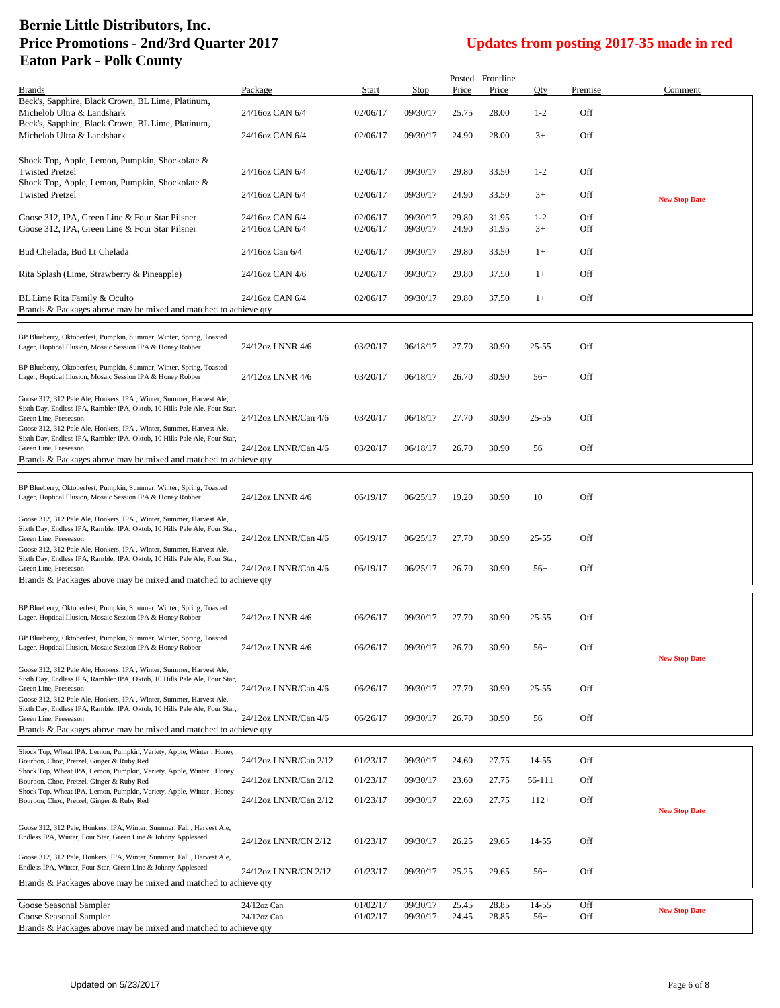|                                                                                                                                                  |                                  |                      |                      |                | Posted Frontline |                |            |                      |
|--------------------------------------------------------------------------------------------------------------------------------------------------|----------------------------------|----------------------|----------------------|----------------|------------------|----------------|------------|----------------------|
| <b>Brands</b><br>Beck's, Sapphire, Black Crown, BL Lime, Platinum,                                                                               | Package                          | Start                | <b>Stop</b>          | Price          | Price            | Qty            | Premise    | Comment              |
| Michelob Ultra & Landshark<br>Beck's, Sapphire, Black Crown, BL Lime, Platinum,                                                                  | 24/16oz CAN 6/4                  | 02/06/17             | 09/30/17             | 25.75          | 28.00            | $1-2$          | Off        |                      |
| Michelob Ultra & Landshark                                                                                                                       | 24/16oz CAN 6/4                  | 02/06/17             | 09/30/17             | 24.90          | 28.00            | $3+$           | Off        |                      |
| Shock Top, Apple, Lemon, Pumpkin, Shockolate &                                                                                                   |                                  |                      |                      |                |                  |                |            |                      |
| <b>Twisted Pretzel</b>                                                                                                                           | 24/16oz CAN 6/4                  | 02/06/17             | 09/30/17             | 29.80          | 33.50            | $1-2$          | Off        |                      |
| Shock Top, Apple, Lemon, Pumpkin, Shockolate &<br><b>Twisted Pretzel</b>                                                                         | 24/16oz CAN 6/4                  | 02/06/17             | 09/30/17             | 24.90          | 33.50            | $3+$           | Off        | <b>New Stop Date</b> |
|                                                                                                                                                  | 24/16oz CAN 6/4                  | 02/06/17             | 09/30/17             | 29.80          |                  | $1-2$          | Off        |                      |
| Goose 312, IPA, Green Line & Four Star Pilsner<br>Goose 312, IPA, Green Line & Four Star Pilsner                                                 | 24/16oz CAN 6/4                  | 02/06/17             | 09/30/17             | 24.90          | 31.95<br>31.95   | $3+$           | Off        |                      |
| Bud Chelada, Bud Lt Chelada                                                                                                                      | 24/16oz Can 6/4                  | 02/06/17             | 09/30/17             | 29.80          | 33.50            | $1+$           | Off        |                      |
| Rita Splash (Lime, Strawberry & Pineapple)                                                                                                       | 24/16oz CAN 4/6                  | 02/06/17             | 09/30/17             | 29.80          | 37.50            | $1+$           | Off        |                      |
| BL Lime Rita Family & Oculto<br>Brands & Packages above may be mixed and matched to achieve qty                                                  | 24/16oz CAN 6/4                  | 02/06/17             | 09/30/17             | 29.80          | 37.50            | $1+$           | Off        |                      |
|                                                                                                                                                  |                                  |                      |                      |                |                  |                |            |                      |
| BP Blueberry, Oktoberfest, Pumpkin, Summer, Winter, Spring, Toasted<br>Lager, Hoptical Illusion, Mosaic Session IPA & Honey Robber               | 24/12oz LNNR 4/6                 | 03/20/17             | 06/18/17             | 27.70          | 30.90            | 25-55          | Off        |                      |
| BP Blueberry, Oktoberfest, Pumpkin, Summer, Winter, Spring, Toasted<br>Lager, Hoptical Illusion, Mosaic Session IPA & Honey Robber               | 24/12oz LNNR 4/6                 | 03/20/17             | 06/18/17             | 26.70          | 30.90            | $56+$          | Off        |                      |
|                                                                                                                                                  |                                  |                      |                      |                |                  |                |            |                      |
| Goose 312, 312 Pale Ale, Honkers, IPA, Winter, Summer, Harvest Ale,<br>Sixth Day, Endless IPA, Rambler IPA, Oktob, 10 Hills Pale Ale, Four Star, |                                  |                      |                      |                |                  |                |            |                      |
| Green Line, Preseason                                                                                                                            | 24/12oz LNNR/Can 4/6             | 03/20/17             | 06/18/17             | 27.70          | 30.90            | 25-55          | Off        |                      |
| Goose 312, 312 Pale Ale, Honkers, IPA, Winter, Summer, Harvest Ale,<br>Sixth Day, Endless IPA, Rambler IPA, Oktob, 10 Hills Pale Ale, Four Star, |                                  |                      |                      |                |                  |                |            |                      |
| Green Line, Preseason<br>Brands & Packages above may be mixed and matched to achieve qty                                                         | 24/12oz LNNR/Can 4/6             | 03/20/17             | 06/18/17             | 26.70          | 30.90            | $56+$          | Off        |                      |
|                                                                                                                                                  |                                  |                      |                      |                |                  |                |            |                      |
| BP Blueberry, Oktoberfest, Pumpkin, Summer, Winter, Spring, Toasted                                                                              |                                  |                      |                      |                |                  |                |            |                      |
| Lager, Hoptical Illusion, Mosaic Session IPA & Honey Robber                                                                                      | 24/12oz LNNR 4/6                 | 06/19/17             | 06/25/17             | 19.20          | 30.90            | $10+$          | Off        |                      |
| Goose 312, 312 Pale Ale, Honkers, IPA, Winter, Summer, Harvest Ale,                                                                              |                                  |                      |                      |                |                  |                |            |                      |
| Sixth Day, Endless IPA, Rambler IPA, Oktob, 10 Hills Pale Ale, Four Star,<br>Green Line, Preseason                                               | 24/12oz LNNR/Can 4/6             | 06/19/17             | 06/25/17             | 27.70          | 30.90            | $25 - 55$      | Off        |                      |
| Goose 312, 312 Pale Ale, Honkers, IPA, Winter, Summer, Harvest Ale,                                                                              |                                  |                      |                      |                |                  |                |            |                      |
| Sixth Day, Endless IPA, Rambler IPA, Oktob, 10 Hills Pale Ale, Four Star,<br>Green Line, Preseason                                               | 24/12oz LNNR/Can 4/6             | 06/19/17             | 06/25/17             | 26.70          | 30.90            | $56+$          | Off        |                      |
| Brands & Packages above may be mixed and matched to achieve qty                                                                                  |                                  |                      |                      |                |                  |                |            |                      |
|                                                                                                                                                  |                                  |                      |                      |                |                  |                |            |                      |
| BP Blueberry, Oktoberfest, Pumpkin, Summer, Winter, Spring, Toasted<br>Lager, Hoptical Illusion, Mosaic Session IPA & Honey Robber               | 24/12oz LNNR 4/6                 | 06/26/17             | 09/30/17             | 27.70          | 30.90            | 25-55          | Off        |                      |
| BP Blueberry, Oktoberfest, Pumpkin, Summer, Winter, Spring, Toasted                                                                              |                                  |                      |                      |                |                  |                |            |                      |
| Lager, Hoptical Illusion, Mosaic Session IPA & Honey Robber                                                                                      | 24/12oz LNNR 4/6                 | 06/26/17             | 09/30/17             | 26.70          | 30.90            | $56+$          | Off        |                      |
| Goose 312, 312 Pale Ale, Honkers, IPA, Winter, Summer, Harvest Ale,                                                                              |                                  |                      |                      |                |                  |                |            | <b>New Stop Date</b> |
| Sixth Day, Endless IPA, Rambler IPA, Oktob, 10 Hills Pale Ale, Four Star,                                                                        |                                  |                      |                      |                |                  |                |            |                      |
| Green Line, Preseason<br>Goose 312, 312 Pale Ale, Honkers, IPA, Winter, Summer, Harvest Ale,                                                     | 24/12oz LNNR/Can 4/6             | 06/26/17             | 09/30/17             | 27.70          | 30.90            | $25 - 55$      | Off        |                      |
| Sixth Day, Endless IPA, Rambler IPA, Oktob, 10 Hills Pale Ale, Four Star,<br>Green Line, Preseason                                               | 24/12oz LNNR/Can 4/6             | 06/26/17             | 09/30/17             | 26.70          | 30.90            | $56+$          | Off        |                      |
| Brands & Packages above may be mixed and matched to achieve qty                                                                                  |                                  |                      |                      |                |                  |                |            |                      |
| Shock Top, Wheat IPA, Lemon, Pumpkin, Variety, Apple, Winter, Honey                                                                              |                                  |                      |                      |                |                  |                |            |                      |
| Bourbon, Choc, Pretzel, Ginger & Ruby Red                                                                                                        | 24/12oz LNNR/Can 2/12            | 01/23/17             | 09/30/17             | 24.60          | 27.75            | 14-55          | Off        |                      |
| Shock Top, Wheat IPA, Lemon, Pumpkin, Variety, Apple, Winter, Honey<br>Bourbon, Choc, Pretzel, Ginger & Ruby Red                                 | 24/12oz LNNR/Can 2/12            | 01/23/17             | 09/30/17             | 23.60          | 27.75            | 56-111         | Off        |                      |
| Shock Top, Wheat IPA, Lemon, Pumpkin, Variety, Apple, Winter, Honey<br>Bourbon, Choc, Pretzel, Ginger & Ruby Red                                 | 24/12oz LNNR/Can 2/12            | 01/23/17             | 09/30/17             | 22.60          | 27.75            | $112+$         | Off        |                      |
|                                                                                                                                                  |                                  |                      |                      |                |                  |                |            | <b>New Stop Date</b> |
| Goose 312, 312 Pale, Honkers, IPA, Winter, Summer, Fall, Harvest Ale,                                                                            |                                  |                      |                      |                |                  |                |            |                      |
| Endless IPA, Winter, Four Star, Green Line & Johnny Appleseed                                                                                    | 24/12oz LNNR/CN 2/12             | 01/23/17             | 09/30/17             | 26.25          | 29.65            | 14-55          | Off        |                      |
| Goose 312, 312 Pale, Honkers, IPA, Winter, Summer, Fall, Harvest Ale,<br>Endless IPA, Winter, Four Star, Green Line & Johnny Appleseed           |                                  |                      |                      |                |                  |                |            |                      |
| Brands & Packages above may be mixed and matched to achieve qty                                                                                  | 24/12oz LNNR/CN 2/12             | 01/23/17             | 09/30/17             | 25.25          | 29.65            | $56+$          | Off        |                      |
|                                                                                                                                                  |                                  |                      |                      |                |                  |                |            |                      |
| Goose Seasonal Sampler<br>Goose Seasonal Sampler                                                                                                 | $24/12$ oz Can<br>$24/12$ oz Can | 01/02/17<br>01/02/17 | 09/30/17<br>09/30/17 | 25.45<br>24.45 | 28.85<br>28.85   | 14-55<br>$56+$ | Off<br>Off | <b>New Stop Date</b> |
| Brands & Packages above may be mixed and matched to achieve qty                                                                                  |                                  |                      |                      |                |                  |                |            |                      |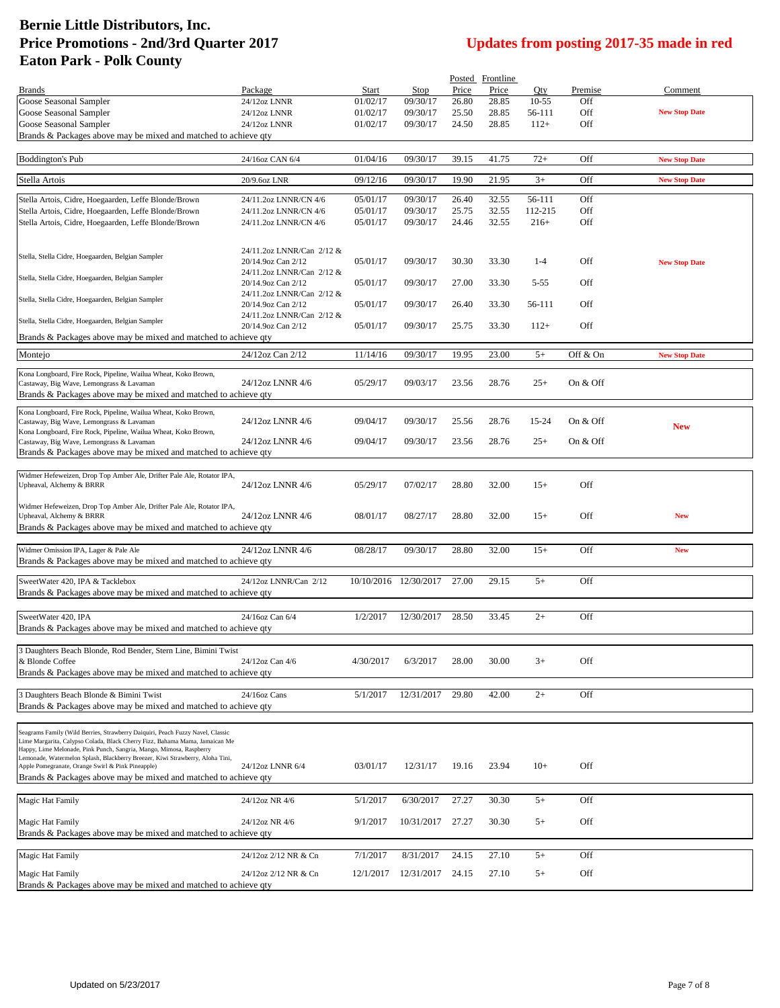| Updates from posting 2017-35 made in red |  |
|------------------------------------------|--|
|------------------------------------------|--|

|                                                                                                                                                      |                                                 |           |                       |       | Posted Frontline |           |          |                      |
|------------------------------------------------------------------------------------------------------------------------------------------------------|-------------------------------------------------|-----------|-----------------------|-------|------------------|-----------|----------|----------------------|
| <b>Brands</b>                                                                                                                                        | Package                                         | Start     | Stop                  | Price | Price            | Oty       | Premise  | Comment              |
| Goose Seasonal Sampler                                                                                                                               | 24/12oz LNNR                                    | 01/02/17  | 09/30/17              | 26.80 | 28.85            | $10 - 55$ | Off      |                      |
| Goose Seasonal Sampler                                                                                                                               | 24/12oz LNNR                                    | 01/02/17  | 09/30/17              | 25.50 | 28.85            | 56-111    | Off      | <b>New Stop Date</b> |
| Goose Seasonal Sampler                                                                                                                               | 24/12oz LNNR                                    | 01/02/17  | 09/30/17              | 24.50 | 28.85            | $112+$    | Off      |                      |
| Brands & Packages above may be mixed and matched to achieve qty                                                                                      |                                                 |           |                       |       |                  |           |          |                      |
|                                                                                                                                                      |                                                 |           |                       |       |                  |           |          |                      |
| <b>Boddington's Pub</b>                                                                                                                              | 24/16oz CAN 6/4                                 | 01/04/16  | 09/30/17              | 39.15 | 41.75            | $72+$     | Off      | <b>New Stop Date</b> |
| Stella Artois                                                                                                                                        | 20/9.6oz LNR                                    | 09/12/16  | 09/30/17              | 19.90 | 21.95            | $3+$      | Off      | <b>New Stop Date</b> |
|                                                                                                                                                      |                                                 |           |                       |       |                  |           |          |                      |
| Stella Artois, Cidre, Hoegaarden, Leffe Blonde/Brown                                                                                                 | 24/11.2oz LNNR/CN 4/6                           | 05/01/17  | 09/30/17              | 26.40 | 32.55            | 56-111    | Off      |                      |
| Stella Artois, Cidre, Hoegaarden, Leffe Blonde/Brown                                                                                                 | 24/11.2oz LNNR/CN 4/6                           | 05/01/17  | 09/30/17              | 25.75 | 32.55            | 112-215   | Off      |                      |
| Stella Artois, Cidre, Hoegaarden, Leffe Blonde/Brown                                                                                                 | 24/11.2oz LNNR/CN 4/6                           | 05/01/17  | 09/30/17              | 24.46 | 32.55            | $216+$    | Off      |                      |
|                                                                                                                                                      |                                                 |           |                       |       |                  |           |          |                      |
|                                                                                                                                                      | 24/11.2oz LNNR/Can 2/12 &                       |           |                       |       |                  |           |          |                      |
| Stella, Stella Cidre, Hoegaarden, Belgian Sampler                                                                                                    | 20/14.9oz Can 2/12                              | 05/01/17  | 09/30/17              | 30.30 | 33.30            | $1-4$     | Off      | <b>New Stop Date</b> |
| Stella, Stella Cidre, Hoegaarden, Belgian Sampler                                                                                                    | 24/11.2oz LNNR/Can 2/12 &                       |           |                       |       |                  |           |          |                      |
|                                                                                                                                                      | 20/14.9oz Can 2/12                              | 05/01/17  | 09/30/17              | 27.00 | 33.30            | $5 - 55$  | Off      |                      |
| Stella, Stella Cidre, Hoegaarden, Belgian Sampler                                                                                                    | 24/11.2oz LNNR/Can 2/12 &                       |           |                       |       |                  |           | Off      |                      |
|                                                                                                                                                      | 20/14.9oz Can 2/12<br>24/11.2oz LNNR/Can 2/12 & | 05/01/17  | 09/30/17              | 26.40 | 33.30            | 56-111    |          |                      |
| Stella, Stella Cidre, Hoegaarden, Belgian Sampler                                                                                                    | 20/14.9oz Can 2/12                              | 05/01/17  | 09/30/17              | 25.75 | 33.30            | $112+$    | Off      |                      |
| Brands & Packages above may be mixed and matched to achieve qty                                                                                      |                                                 |           |                       |       |                  |           |          |                      |
|                                                                                                                                                      |                                                 |           |                       |       |                  |           |          |                      |
| Montejo                                                                                                                                              | 24/12oz Can 2/12                                | 11/14/16  | 09/30/17              | 19.95 | 23.00            | $5+$      | Off & On | <b>New Stop Date</b> |
| Kona Longboard, Fire Rock, Pipeline, Wailua Wheat, Koko Brown,                                                                                       |                                                 |           |                       |       |                  |           |          |                      |
| Castaway, Big Wave, Lemongrass & Lavaman                                                                                                             | 24/12oz LNNR 4/6                                | 05/29/17  | 09/03/17              | 23.56 | 28.76            | $25+$     | On & Off |                      |
| Brands & Packages above may be mixed and matched to achieve qty                                                                                      |                                                 |           |                       |       |                  |           |          |                      |
| Kona Longboard, Fire Rock, Pipeline, Wailua Wheat, Koko Brown,                                                                                       |                                                 |           |                       |       |                  |           |          |                      |
| Castaway, Big Wave, Lemongrass & Lavaman                                                                                                             | 24/12oz LNNR 4/6                                | 09/04/17  | 09/30/17              | 25.56 | 28.76            | 15-24     | On & Off | <b>New</b>           |
| Kona Longboard, Fire Rock, Pipeline, Wailua Wheat, Koko Brown,                                                                                       |                                                 |           |                       |       |                  |           |          |                      |
| Castaway, Big Wave, Lemongrass & Lavaman                                                                                                             | 24/12oz LNNR 4/6                                | 09/04/17  | 09/30/17              | 23.56 | 28.76            | $25+$     | On & Off |                      |
| Brands & Packages above may be mixed and matched to achieve qty                                                                                      |                                                 |           |                       |       |                  |           |          |                      |
| Widmer Hefeweizen, Drop Top Amber Ale, Drifter Pale Ale, Rotator IPA,                                                                                |                                                 |           |                       |       |                  |           |          |                      |
| Upheaval, Alchemy & BRRR                                                                                                                             | 24/12oz LNNR 4/6                                | 05/29/17  | 07/02/17              | 28.80 | 32.00            | $15+$     | Off      |                      |
|                                                                                                                                                      |                                                 |           |                       |       |                  |           |          |                      |
| Widmer Hefeweizen, Drop Top Amber Ale, Drifter Pale Ale, Rotator IPA,                                                                                |                                                 |           |                       |       |                  |           |          |                      |
| Upheaval, Alchemy & BRRR                                                                                                                             | 24/12oz LNNR 4/6                                | 08/01/17  | 08/27/17              | 28.80 | 32.00            | $15+$     | Off      | <b>New</b>           |
| Brands & Packages above may be mixed and matched to achieve qty                                                                                      |                                                 |           |                       |       |                  |           |          |                      |
| Widmer Omission IPA, Lager & Pale Ale                                                                                                                | 24/12oz LNNR 4/6                                | 08/28/17  | 09/30/17              | 28.80 | 32.00            | $15+$     | Off      | <b>New</b>           |
| Brands & Packages above may be mixed and matched to achieve gty                                                                                      |                                                 |           |                       |       |                  |           |          |                      |
|                                                                                                                                                      |                                                 |           |                       |       |                  |           |          |                      |
| SweetWater 420, IPA & Tacklebox                                                                                                                      | 24/12oz LNNR/Can 2/12                           |           | 10/10/2016 12/30/2017 | 27.00 | 29.15            | $5+$      | Off      |                      |
| Brands & Packages above may be mixed and matched to achieve qty                                                                                      |                                                 |           |                       |       |                  |           |          |                      |
|                                                                                                                                                      |                                                 |           |                       |       |                  |           |          |                      |
| SweetWater 420, IPA                                                                                                                                  | 24/16oz Can 6/4                                 | 1/2/2017  | 12/30/2017            | 28.50 | 33.45            | $2+$      | Off      |                      |
| Brands & Packages above may be mixed and matched to achieve gty                                                                                      |                                                 |           |                       |       |                  |           |          |                      |
|                                                                                                                                                      |                                                 |           |                       |       |                  |           |          |                      |
| 3 Daughters Beach Blonde, Rod Bender, Stern Line, Bimini Twist<br>& Blonde Coffee                                                                    | 24/12oz Can 4/6                                 |           |                       |       |                  |           | Off      |                      |
| Brands & Packages above may be mixed and matched to achieve qty                                                                                      |                                                 | 4/30/2017 | 6/3/2017              | 28.00 | 30.00            | $3+$      |          |                      |
|                                                                                                                                                      |                                                 |           |                       |       |                  |           |          |                      |
| 3 Daughters Beach Blonde & Bimini Twist                                                                                                              | 24/16oz Cans                                    | 5/1/2017  | 12/31/2017            | 29.80 | 42.00            | $2+$      | Off      |                      |
| Brands & Packages above may be mixed and matched to achieve qty                                                                                      |                                                 |           |                       |       |                  |           |          |                      |
|                                                                                                                                                      |                                                 |           |                       |       |                  |           |          |                      |
| Seagrams Family (Wild Berries, Strawberry Daiquiri, Peach Fuzzy Navel, Classic                                                                       |                                                 |           |                       |       |                  |           |          |                      |
| Lime Margarita, Calypso Colada, Black Cherry Fizz, Bahama Mama, Jamaican Me                                                                          |                                                 |           |                       |       |                  |           |          |                      |
| Happy, Lime Melonade, Pink Punch, Sangria, Mango, Mimosa, Raspberry<br>Lemonade, Watermelon Splash, Blackberry Breezer, Kiwi Strawberry, Aloha Tini, |                                                 |           |                       |       |                  |           |          |                      |
| Apple Pomegranate, Orange Swirl & Pink Pineapple)                                                                                                    | 24/12oz LNNR 6/4                                | 03/01/17  | 12/31/17              | 19.16 | 23.94            | $10+$     | Off      |                      |
| Brands & Packages above may be mixed and matched to achieve qty                                                                                      |                                                 |           |                       |       |                  |           |          |                      |
|                                                                                                                                                      |                                                 |           |                       |       |                  |           |          |                      |
| Magic Hat Family                                                                                                                                     | 24/12oz NR 4/6                                  | 5/1/2017  | 6/30/2017             | 27.27 | 30.30            | $5+$      | Off      |                      |
|                                                                                                                                                      |                                                 |           |                       |       |                  |           |          |                      |
| Magic Hat Family<br>Brands & Packages above may be mixed and matched to achieve qty                                                                  | 24/12oz NR 4/6                                  | 9/1/2017  | 10/31/2017            | 27.27 | 30.30            | $5+$      | Off      |                      |
|                                                                                                                                                      |                                                 |           |                       |       |                  |           |          |                      |
| Magic Hat Family                                                                                                                                     | 24/12oz 2/12 NR & Cn                            | 7/1/2017  | 8/31/2017             | 24.15 | 27.10            | $5+$      | Off      |                      |
|                                                                                                                                                      |                                                 |           |                       |       |                  |           |          |                      |
| Magic Hat Family                                                                                                                                     | 24/12oz 2/12 NR & Cn                            | 12/1/2017 | 12/31/2017            | 24.15 | 27.10            | $5+$      | Off      |                      |
| Brands & Packages above may be mixed and matched to achieve qty                                                                                      |                                                 |           |                       |       |                  |           |          |                      |